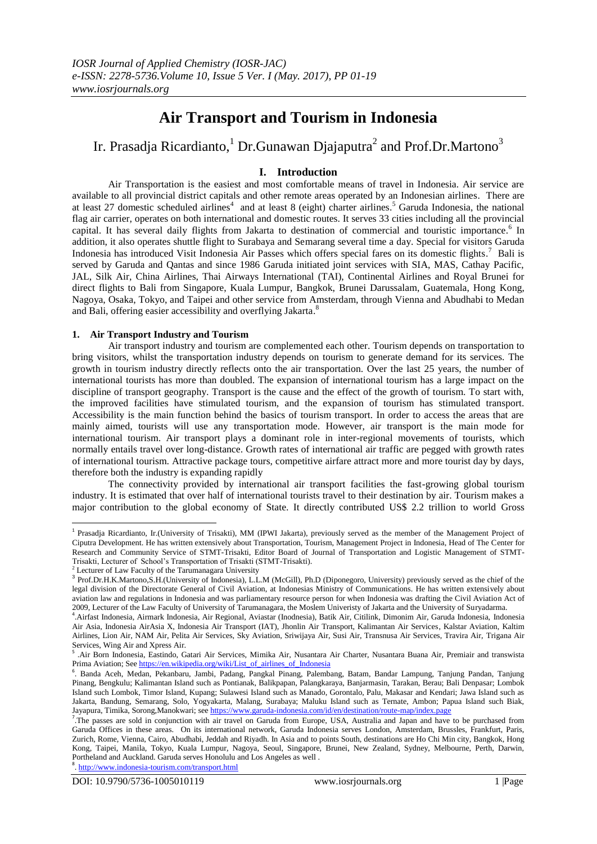# **Air Transport and Tourism in Indonesia**

# Ir. Prasadja Ricardianto, $^1$  Dr.Gunawan Djajaputra $^2$  and Prof.Dr.Martono $^3$

# **I. Introduction**

Air Transportation is the easiest and most comfortable means of travel in Indonesia. Air service are available to all provincial district capitals and other remote areas operated by an Indonesian airlines. There are at least 27 domestic scheduled airlines<sup>4</sup> and at least 8 (eight) charter airlines.<sup>5</sup> Garuda Indonesia, the national flag air carrier, operates on both international and domestic routes. It serves 33 cities including all the provincial capital. It has several daily flights from Jakarta to destination of commercial and touristic importance.<sup>6</sup> In addition, it also operates shuttle flight to Surabaya and Semarang several time a day. Special for visitors Garuda Indonesia has introduced Visit Indonesia Air Passes which offers special fares on its domestic flights. <sup>7</sup> Bali is served by Garuda and Qantas and since 1986 Garuda initiated joint services with SIA, MAS, Cathay Pacific, JAL, Silk Air, China Airlines, Thai Airways International (TAI), Continental Airlines and Royal Brunei for direct flights to Bali from Singapore, Kuala Lumpur, Bangkok, Brunei Darussalam, Guatemala, Hong Kong, Nagoya, Osaka, Tokyo, and Taipei and other service from Amsterdam, through Vienna and Abudhabi to Medan and Bali, offering easier accessibility and overflying Jakarta.<sup>8</sup>

# **1. Air Transport Industry and Tourism**

Air transport industry and tourism are complemented each other. Tourism depends on transportation to bring visitors, whilst the transportation industry depends on tourism to generate demand for its services. The growth in tourism industry directly reflects onto the air transportation. Over the last 25 years, the number of international tourists has more than doubled. The expansion of international tourism has a large impact on the discipline of transport geography. Transport is the cause and the effect of the growth of tourism. To start with, the improved facilities have stimulated tourism, and the expansion of tourism has stimulated transport. Accessibility is the main function behind the basics of tourism transport. In order to access the areas that are mainly aimed, tourists will use any transportation mode. However, air transport is the main mode for international tourism. Air transport plays a dominant role in inter-regional movements of tourists, which normally entails travel over long-distance. Growth rates of international air traffic are pegged with growth rates of international tourism. Attractive package tours, competitive airfare attract more and more tourist day by days, therefore both the industry is expanding rapidly

The connectivity provided by international air transport facilities the fast-growing global tourism industry. It is estimated that over half of international tourists travel to their destination by air. Tourism makes a major contribution to the global economy of State. It directly contributed US\$ 2.2 trillion to world Gross

<sup>8</sup>. <http://www.indonesia-tourism.com/transport.html>

 1 Prasadja Ricardianto, Ir.(University of Trisakti), MM (IPWI Jakarta), previously served as the member of the Management Project of Ciputra Development. He has written extensively about Transportation, Tourism, Management Project in Indonesia, Head of The Center for Research and Community Service of STMT-Trisakti, Editor Board of Journal of Transportation and Logistic Management of STMT-Trisakti, Lecturer of School's Transportation of Trisakti (STMT-Trisakti).

<sup>2</sup> Lecturer of Law Faculty of the Tarumanagara University

<sup>&</sup>lt;sup>3</sup> Prof.Dr.H.K.Martono,S.H.(University of Indonesia), L.L.M (McGill), Ph.D (Diponegoro, University) previously served as the chief of the legal division of the Directorate General of Civil Aviation, at Indonesias Ministry of Communications. He has written extensively about aviation law and regulations in Indonesia and was parliamentary resource person for when Indonesia was drafting the Civil Aviation Act of 2009, Lecturer of the Law Faculty of University of Tarumanagara, the Moslem Univeristy of Jakarta and the University of Suryadarma.

<sup>4</sup> .Airfast Indonesia, Airmark Indonesia, Air Regional, Aviastar (Inodnesia), Batik Air, Citilink, Dimonim Air, Garuda Indonesia, Indonesia Air Asia, Indonesia AirAsia X, Indonesia Air Transport (IAT), Jhonlin Air Transport, Kalimantan Air Services, Kalstar Aviation, Kaltim Airlines, Lion Air, NAM Air, Pelita Air Services, Sky Aviation, Sriwijaya Air, Susi Air, Transnusa Air Services, Travira Air, Trigana Air Services, Wing Air and Xpress Air.

<sup>5</sup> .Air Born Indonesia, Eastindo, Gatari Air Services, Mimika Air, Nusantara Air Charter, Nusantara Buana Air, Premiair and transwista Prima Aviation; See [https://en.wikipedia.org/wiki/List\\_of\\_airlines\\_of\\_Indonesia](https://en.wikipedia.org/wiki/List_of_airlines_of_Indonesia)

<sup>6</sup> . Banda Aceh, Medan, Pekanbaru, Jambi, Padang, Pangkal Pinang, Palembang, Batam, Bandar Lampung, Tanjung Pandan, Tanjung Pinang, Bengkulu; Kalimantan Island such as Pontianak, Balikpapan, Palangkaraya, Banjarmasin, Tarakan, Berau; Bali Denpasar; Lombok Island such Lombok, Timor Island, Kupang; Sulawesi Island such as Manado, Gorontalo, Palu, Makasar and Kendari; Jawa Island such as Jakarta, Bandung, Semarang, Solo, Yogyakarta, Malang, Surabaya; Maluku Island such as Ternate, Ambon; Papua Island such Biak, Jayapura, Timika, Sorong,Manokwari; se[e https://www.garuda-indonesia.com/id/en/destination/route-map/index.page](https://www.garuda-indonesia.com/id/en/destination/route-map/index.page)

<sup>&</sup>lt;sup>7</sup>.The passes are sold in conjunction with air travel on Garuda from Europe, USA, Australia and Japan and have to be purchased from Garuda Offices in these areas. On its international network, Garuda Indonesia serves London, Amsterdam, Brussles, Frankfurt, Paris, Zurich, Rome, Vienna, Cairo, Abudhabi, Jeddah and Riyadh. In Asia and to points South, destinations are Ho Chi Min city, Bangkok, Hong Kong, Taipei, Manila, Tokyo, Kuala Lumpur, Nagoya, Seoul, Singapore, Brunei, New Zealand, Sydney, Melbourne, Perth, Darwin, Portheland and Auckland. Garuda serves Honolulu and Los Angeles as well .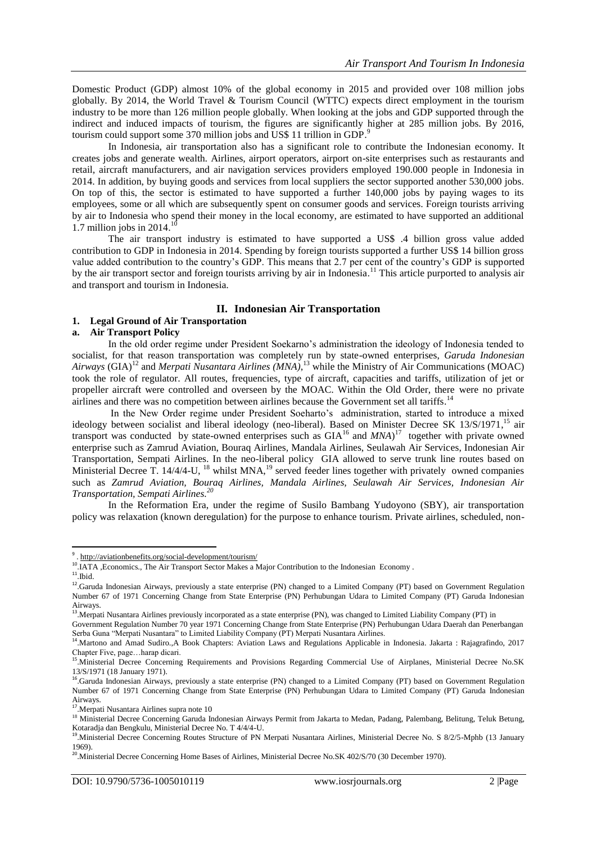Domestic Product (GDP) almost 10% of the global economy in 2015 and provided over 108 million jobs globally. By 2014, the World Travel & Tourism Council (WTTC) expects direct employment in the tourism industry to be more than 126 million people globally. When looking at the jobs and GDP supported through the indirect and induced impacts of tourism, the figures are significantly higher at 285 million jobs. By 2016, tourism could support some 370 million jobs and US\$ 11 trillion in GDP.<sup>9</sup>

In Indonesia, air transportation also has a significant role to contribute the Indonesian economy. It creates jobs and generate wealth. Airlines, airport operators, airport on-site enterprises such as restaurants and retail, aircraft manufacturers, and air navigation services providers employed 190.000 people in Indonesia in 2014. In addition, by buying goods and services from local suppliers the sector supported another 530,000 jobs. On top of this, the sector is estimated to have supported a further 140,000 jobs by paying wages to its employees, some or all which are subsequently spent on consumer goods and services. Foreign tourists arriving by air to Indonesia who spend their money in the local economy, are estimated to have supported an additional 1.7 million jobs in  $2014.<sup>10</sup>$ 

The air transport industry is estimated to have supported a US\$ .4 billion gross value added contribution to GDP in Indonesia in 2014. Spending by foreign tourists supported a further US\$ 14 billion gross value added contribution to the country's GDP. This means that 2.7 per cent of the country's GDP is supported by the air transport sector and foreign tourists arriving by air in Indonesia.<sup>11</sup> This article purported to analysis air and transport and tourism in Indonesia.

# **II. Indonesian Air Transportation**

## **1. Legal Ground of Air Transportation**

## **a. Air Transport Policy**

In the old order regime under President Soekarno's administration the ideology of Indonesia tended to socialist, for that reason transportation was completely run by state-owned enterprises, *Garuda Indonesian Airways* (GIA)<sup>12</sup> and *Merpati Nusantara Airlines (MNA)*, <sup>13</sup> while the Ministry of Air Communications (MOAC) took the role of regulator. All routes, frequencies, type of aircraft, capacities and tariffs, utilization of jet or propeller aircraft were controlled and overseen by the MOAC. Within the Old Order, there were no private airlines and there was no competition between airlines because the Government set all tariffs.<sup>14</sup>

In the New Order regime under President Soeharto's administration, started to introduce a mixed ideology between socialist and liberal ideology (neo-liberal). Based on Minister Decree SK 13/S/1971,<sup>15</sup> air transport was conducted by state-owned enterprises such as  $GIA<sup>16</sup>$  and  $MNA<sup>17</sup>$  together with private owned enterprise such as Zamrud Aviation, Bouraq Airlines, Mandala Airlines, Seulawah Air Services, Indonesian Air Transportation, Sempati Airlines. In the neo-liberal policy GIA allowed to serve trunk line routes based on Ministerial Decree T. 14/4/4-U, <sup>18</sup> whilst MNA,<sup>19</sup> served feeder lines together with privately owned companies such as *Zamrud Aviation, Bouraq Airlines, Mandala Airlines, Seulawah Air Services, Indonesian Air Transportation, Sempati Airlines. 20*

In the Reformation Era, under the regime of Susilo Bambang Yudoyono (SBY), air transportation policy was relaxation (known deregulation) for the purpose to enhance tourism. Private airlines, scheduled, non-

<sup>9.</sup><http://aviationbenefits.org/social-development/tourism/>

<sup>&</sup>lt;sup>10</sup>.IATA , Economics., The Air Transport Sector Makes a Major Contribution to the Indonesian Economy .

 $11$ .Ibid.

<sup>&</sup>lt;sup>12</sup>.Garuda Indonesian Airways, previously a state enterprise (PN) changed to a Limited Company (PT) based on Government Regulation Number 67 of 1971 Concerning Change from State Enterprise (PN) Perhubungan Udara to Limited Company (PT) Garuda Indonesian

Airways. 13 .Merpati Nusantara Airlines previously incorporated as a state enterprise (PN), was changed to Limited Liability Company (PT) in

Government Regulation Number 70 year 1971 Concerning Change from State Enterprise (PN) Perhubungan Udara Daerah dan Penerbangan Serba Guna "Merpati Nusantara" to Limited Liability Company (PT) Merpati Nusantara Airlines.

<sup>&</sup>lt;sup>14</sup>. Martono and Amad Sudiro., A Book Chapters: Aviation Laws and Regulations Applicable in Indonesia. Jakarta: Rajagrafindo, 2017

Chapter Five, page…harap dicari. 15 .Ministerial Decree Concerning Requirements and Provisions Regarding Commercial Use of Airplanes, Ministerial Decree No.SK 13/S/1971 (18 January 1971).

<sup>&</sup>lt;sup>16</sup>.Garuda Indonesian Airways, previously a state enterprise (PN) changed to a Limited Company (PT) based on Government Regulation Number 67 of 1971 Concerning Change from State Enterprise (PN) Perhubungan Udara to Limited Company (PT) Garuda Indonesian

Airways. 17 .Merpati Nusantara Airlines supra note 10

<sup>&</sup>lt;sup>18</sup> Ministerial Decree Concerning Garuda Indonesian Airways Permit from Jakarta to Medan, Padang, Palembang, Belitung, Teluk Betung, Kotaradja dan Bengkulu, Ministerial Decree No. T 4/4/4-U.

<sup>19</sup> .Ministerial Decree Concerning Routes Structure of PN Merpati Nusantara Airlines, Ministerial Decree No. S 8/2/5-Mphb (13 January 1969).

<sup>&</sup>lt;sup>20</sup>. Ministerial Decree Concerning Home Bases of Airlines, Ministerial Decree No.SK 402/S/70 (30 December 1970).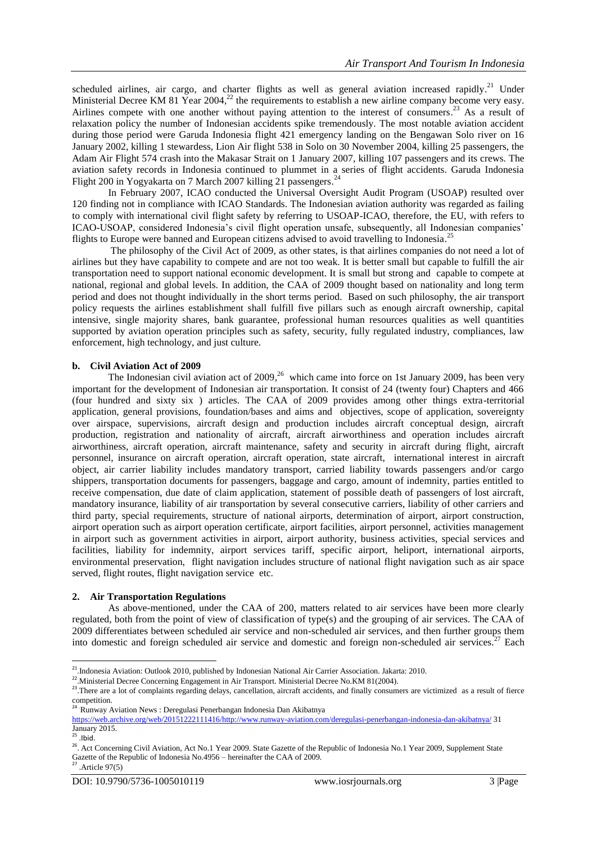scheduled airlines, air cargo, and charter flights as well as general aviation increased rapidly.<sup>21</sup> Under Ministerial Decree KM 81 Year 2004,<sup>22</sup> the requirements to establish a new airline company become very easy. Airlines compete with one another without paying attention to the interest of consumers.<sup>23</sup> As a result of relaxation policy the number of Indonesian accidents spike tremendously. The most notable aviation accident during those period were Garuda Indonesia flight 421 emergency landing on the Bengawan Solo river on 16 January 2002, killing 1 stewardess, Lion Air flight 538 in Solo on 30 November 2004, killing 25 passengers, the Adam Air Flight 574 crash into the Makasar Strait on 1 January 2007, killing 107 passengers and its crews. The aviation safety records in Indonesia continued to plummet in a series of flight accidents. Garuda Indonesia Flight 200 in Yogyakarta on 7 March 2007 killing 21 passengers.<sup>24</sup>

In February 2007, ICAO conducted the Universal Oversight Audit Program (USOAP) resulted over 120 finding not in compliance with ICAO Standards. The Indonesian aviation authority was regarded as failing to comply with international civil flight safety by referring to USOAP-ICAO, therefore, the EU, with refers to ICAO-USOAP, considered Indonesia's civil flight operation unsafe, subsequently, all Indonesian companies' flights to Europe were banned and European citizens advised to avoid travelling to Indonesia.<sup>25</sup>

The philosophy of the Civil Act of 2009, as other states, is that airlines companies do not need a lot of airlines but they have capability to compete and are not too weak. It is better small but capable to fulfill the air transportation need to support national economic development. It is small but strong and capable to compete at national, regional and global levels. In addition, the CAA of 2009 thought based on nationality and long term period and does not thought individually in the short terms period. Based on such philosophy, the air transport policy requests the airlines establishment shall fulfill five pillars such as enough aircraft ownership, capital intensive, single majority shares, bank guarantee, professional human resources qualities as well quantities supported by aviation operation principles such as safety, security, fully regulated industry, compliances, law enforcement, high technology, and just culture.

## **b. Civil Aviation Act of 2009**

The Indonesian civil aviation act of 2009, $^{26}$  which came into force on 1st January 2009, has been very important for the development of Indonesian air transportation. It consist of 24 (twenty four) Chapters and 466 (four hundred and sixty six ) articles. The CAA of 2009 provides among other things extra-territorial application, general provisions, foundation/bases and aims and objectives, scope of application, sovereignty over airspace, supervisions, aircraft design and production includes aircraft conceptual design, aircraft production, registration and nationality of aircraft, aircraft airworthiness and operation includes aircraft airworthiness, aircraft operation, aircraft maintenance, safety and security in aircraft during flight, aircraft personnel, insurance on aircraft operation, aircraft operation, state aircraft, international interest in aircraft object, air carrier liability includes mandatory transport, carried liability towards passengers and/or cargo shippers, transportation documents for passengers, baggage and cargo, amount of indemnity, parties entitled to receive compensation, due date of claim application, statement of possible death of passengers of lost aircraft, mandatory insurance, liability of air transportation by several consecutive carriers, liability of other carriers and third party, special requirements, structure of national airports, determination of airport, airport construction, airport operation such as airport operation certificate, airport facilities, airport personnel, activities management in airport such as government activities in airport, airport authority, business activities, special services and facilities, liability for indemnity, airport services tariff, specific airport, heliport, international airports, environmental preservation, flight navigation includes structure of national flight navigation such as air space served, flight routes, flight navigation service etc.

# **2. Air Transportation Regulations**

As above-mentioned, under the CAA of 200, matters related to air services have been more clearly regulated, both from the point of view of classification of type(s) and the grouping of air services. The CAA of 2009 differentiates between scheduled air service and non-scheduled air services, and then further groups them into domestic and foreign scheduled air service and domestic and foreign non-scheduled air services.<sup>27</sup> Each

<sup>&</sup>lt;sup>21</sup>. Indonesia Aviation: Outlook 2010, published by Indonesian National Air Carrier Association. Jakarta: 2010.

<sup>&</sup>lt;sup>22</sup>. Ministerial Decree Concerning Engagement in Air Transport. Ministerial Decree No.KM 81(2004).

<sup>&</sup>lt;sup>23</sup>. There are a lot of complaints regarding delays, cancellation, aircraft accidents, and finally consumers are victimized as a result of fierce competition.

<sup>&</sup>lt;sup>24</sup> Runway Aviation News : Deregulasi Penerbangan Indonesia Dan Akibatnya

[https://web.archive.org/web/20151222111416/http://www.runway-aviation.com/deregulasi-penerbangan-indonesia-dan-akibatnya/](https://web.archive.org/web/20151222111416/http:/www.runway-aviation.com/deregulasi-penerbangan-indonesia-dan-akibatnya/) 31 January 2015.

 $^{25}$  . Ibid.

<sup>&</sup>lt;sup>26</sup>. Act Concerning Civil Aviation, Act No.1 Year 2009. State Gazette of the Republic of Indonesia No.1 Year 2009, Supplement State Gazette of the Republic of Indonesia No.4956 – hereinafter the CAA of 2009.  $27$ . Article 97(5)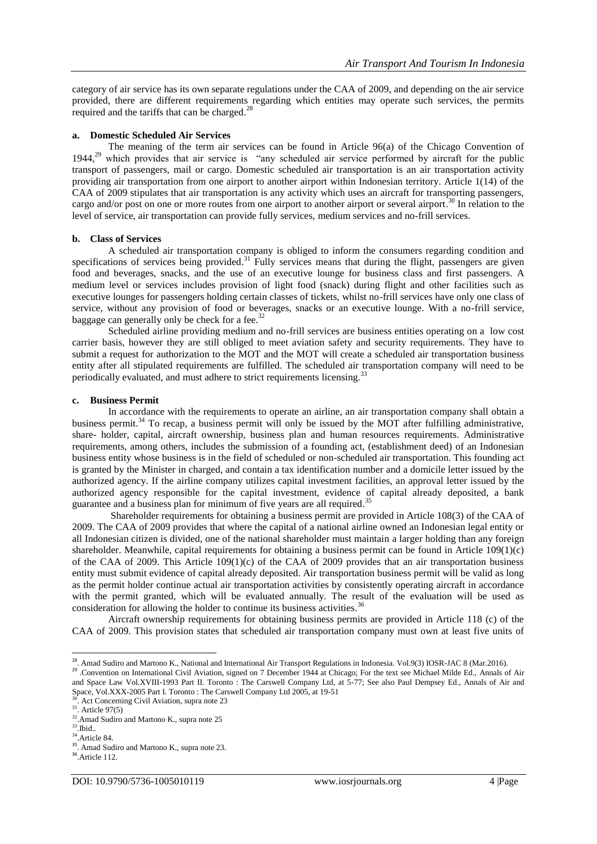category of air service has its own separate regulations under the CAA of 2009, and depending on the air service provided, there are different requirements regarding which entities may operate such services, the permits required and the tariffs that can be charged.<sup>28</sup>

# **a. Domestic Scheduled Air Services**

The meaning of the term air services can be found in Article 96(a) of the Chicago Convention of 1944,<sup>29</sup> which provides that air service is "any scheduled air service performed by aircraft for the public transport of passengers, mail or cargo. Domestic scheduled air transportation is an air transportation activity providing air transportation from one airport to another airport within Indonesian territory. Article 1(14) of the CAA of 2009 stipulates that air transportation is any activity which uses an aircraft for transporting passengers, cargo and/or post on one or more routes from one airport to another airport or several airport.<sup>30</sup> In relation to the level of service, air transportation can provide fully services, medium services and no-frill services.

# **b. Class of Services**

A scheduled air transportation company is obliged to inform the consumers regarding condition and specifications of services being provided.<sup>31</sup> Fully services means that during the flight, passengers are given food and beverages, snacks, and the use of an executive lounge for business class and first passengers. A medium level or services includes provision of light food (snack) during flight and other facilities such as executive lounges for passengers holding certain classes of tickets, whilst no-frill services have only one class of service, without any provision of food or beverages, snacks or an executive lounge. With a no-frill service, baggage can generally only be check for a fee.<sup>32</sup>

Scheduled airline providing medium and no-frill services are business entities operating on a low cost carrier basis, however they are still obliged to meet aviation safety and security requirements. They have to submit a request for authorization to the MOT and the MOT will create a scheduled air transportation business entity after all stipulated requirements are fulfilled. The scheduled air transportation company will need to be periodically evaluated, and must adhere to strict requirements licensing.<sup>33</sup>

# **c. Business Permit**

In accordance with the requirements to operate an airline, an air transportation company shall obtain a business permit.<sup>34</sup> To recap, a business permit will only be issued by the MOT after fulfilling administrative, share- holder, capital, aircraft ownership, business plan and human resources requirements. Administrative requirements, among others, includes the submission of a founding act, (establishment deed) of an Indonesian business entity whose business is in the field of scheduled or non-scheduled air transportation. This founding act is granted by the Minister in charged, and contain a tax identification number and a domicile letter issued by the authorized agency. If the airline company utilizes capital investment facilities, an approval letter issued by the authorized agency responsible for the capital investment, evidence of capital already deposited, a bank guarantee and a business plan for minimum of five years are all required.<sup>35</sup>

Shareholder requirements for obtaining a business permit are provided in Article 108(3) of the CAA of 2009. The CAA of 2009 provides that where the capital of a national airline owned an Indonesian legal entity or all Indonesian citizen is divided, one of the national shareholder must maintain a larger holding than any foreign shareholder. Meanwhile, capital requirements for obtaining a business permit can be found in Article 109(1)(c) of the CAA of 2009. This Article 109(1)(c) of the CAA of 2009 provides that an air transportation business entity must submit evidence of capital already deposited. Air transportation business permit will be valid as long as the permit holder continue actual air transportation activities by consistently operating aircraft in accordance with the permit granted, which will be evaluated annually. The result of the evaluation will be used as consideration for allowing the holder to continue its business activities.<sup>36</sup>

Aircraft ownership requirements for obtaining business permits are provided in Article 118 (c) of the CAA of 2009. This provision states that scheduled air transportation company must own at least five units of

 28 . Amad Sudiro and Martono K., National and International Air Transport Regulations in Indonesia. Vol.9(3) IOSR-JAC 8 (Mar.2016).

<sup>&</sup>lt;sup>29</sup> Convention on International Civil Aviation, signed on 7 December 1944 at Chicago; For the text see Michael Milde Ed., Annals of Air and Space Law Vol.XVIII-1993 Part II. Toronto : The Carswell Company Ltd, at 5-77; See also Paul Dempsey Ed., Annals of Air and Space, Vol.XXX-2005 Part I. Toronto : The Carswell Company Ltd 2005, at 19-51

 $\overline{3}$ . Act Concerning Civil Aviation, supra note 23

 $31.$  Article 97(5)

<sup>&</sup>lt;sup>32</sup>.Amad Sudiro and Martono K., supra note 25

<sup>33</sup> .Ibid..

<sup>34</sup>.Article 84.

<sup>&</sup>lt;sup>35</sup>. Amad Sudiro and Martono K., supra note 23.

<sup>36</sup> .Article 112.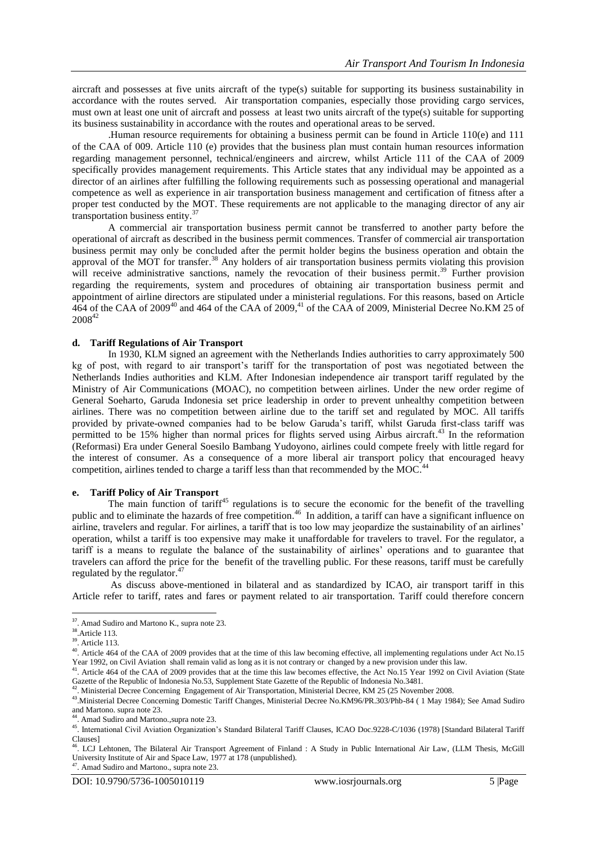aircraft and possesses at five units aircraft of the type(s) suitable for supporting its business sustainability in accordance with the routes served. Air transportation companies, especially those providing cargo services, must own at least one unit of aircraft and possess at least two units aircraft of the type(s) suitable for supporting its business sustainability in accordance with the routes and operational areas to be served.

.Human resource requirements for obtaining a business permit can be found in Article 110(e) and 111 of the CAA of 009. Article 110 (e) provides that the business plan must contain human resources information regarding management personnel, technical/engineers and aircrew, whilst Article 111 of the CAA of 2009 specifically provides management requirements. This Article states that any individual may be appointed as a director of an airlines after fulfilling the following requirements such as possessing operational and managerial competence as well as experience in air transportation business management and certification of fitness after a proper test conducted by the MOT. These requirements are not applicable to the managing director of any air transportation business entity. 37

A commercial air transportation business permit cannot be transferred to another party before the operational of aircraft as described in the business permit commences. Transfer of commercial air transportation business permit may only be concluded after the permit holder begins the business operation and obtain the approval of the MOT for transfer.<sup>38</sup> Any holders of air transportation business permits violating this provision will receive administrative sanctions, namely the revocation of their business permit.<sup>39</sup> Further provision regarding the requirements, system and procedures of obtaining air transportation business permit and appointment of airline directors are stipulated under a ministerial regulations. For this reasons, based on Article 464 of the CAA of 2009<sup>40</sup> and 464 of the CAA of 2009,<sup>41</sup> of the CAA of 2009, Ministerial Decree No.KM 25 of 2008<sup>42</sup>

## **d. Tariff Regulations of Air Transport**

In 1930, KLM signed an agreement with the Netherlands Indies authorities to carry approximately 500 kg of post, with regard to air transport's tariff for the transportation of post was negotiated between the Netherlands Indies authorities and KLM. After Indonesian independence air transport tariff regulated by the Ministry of Air Communications (MOAC), no competition between airlines. Under the new order regime of General Soeharto, Garuda Indonesia set price leadership in order to prevent unhealthy competition between airlines. There was no competition between airline due to the tariff set and regulated by MOC. All tariffs provided by private-owned companies had to be below Garuda's tariff, whilst Garuda first-class tariff was permitted to be 15% higher than normal prices for flights served using Airbus aircraft.<sup>43</sup> In the reformation (Reformasi) Era under General Soesilo Bambang Yudoyono, airlines could compete freely with little regard for the interest of consumer. As a consequence of a more liberal air transport policy that encouraged heavy competition, airlines tended to charge a tariff less than that recommended by the MOC.<sup>44</sup>

# **e. Tariff Policy of Air Transport**

The main function of tariff<sup>45</sup> regulations is to secure the economic for the benefit of the travelling public and to eliminate the hazards of free competition.<sup>46</sup> In addition, a tariff can have a significant influence on airline, travelers and regular. For airlines, a tariff that is too low may jeopardize the sustainability of an airlines' operation, whilst a tariff is too expensive may make it unaffordable for travelers to travel. For the regulator, a tariff is a means to regulate the balance of the sustainability of airlines' operations and to guarantee that travelers can afford the price for the benefit of the travelling public. For these reasons, tariff must be carefully regulated by the regulator.<sup>47</sup>

As discuss above-mentioned in bilateral and as standardized by ICAO, air transport tariff in this Article refer to tariff, rates and fares or payment related to air transportation. Tariff could therefore concern

44 . Amad Sudiro and Martono.,supra note 23.

<sup>47</sup>. Amad Sudiro and Martono., supra note 23.

<sup>&</sup>lt;sup>37</sup>. Amad Sudiro and Martono K., supra note 23.

<sup>&</sup>lt;sup>38</sup>.Article 113.

<sup>&</sup>lt;sup>39</sup>. Article 113.

<sup>&</sup>lt;sup>40</sup>. Article 464 of the CAA of 2009 provides that at the time of this law becoming effective, all implementing regulations under Act No.15 Year 1992, on Civil Aviation shall remain valid as long as it is not contrary or changed by a new provision under this law.<br><sup>41</sup> Article 464 of the CAA of 2000 provides that at the time this law because offective, the Ast

<sup>.</sup> Article 464 of the CAA of 2009 provides that at the time this law becomes effective, the Act No.15 Year 1992 on Civil Aviation (State Gazette of the Republic of Indonesia No.53, Supplement State Gazette of the Republic of Indonesia No.3481.<br><sup>42</sup>. Ministerial Decree Concerning Engagement of Air Transportation, Ministerial Decree, KM 25 (25 November 2008.

<sup>43</sup> .Ministerial Decree Concerning Domestic Tariff Changes, Ministerial Decree No.KM96/PR.303/Phb-84 ( 1 May 1984); See Amad Sudiro and Martono. supra note 23.

<sup>45</sup> . International Civil Aviation Organization's Standard Bilateral Tariff Clauses, ICAO Doc.9228-C/1036 (1978) [Standard Bilateral Tariff  $\text{Classes}$ ]

<sup>.</sup> LCJ Lehtonen, The Bilateral Air Transport Agreement of Finland : A Study in Public International Air Law, (LLM Thesis, McGill University Institute of Air and Space Law, 1977 at 178 (unpublished).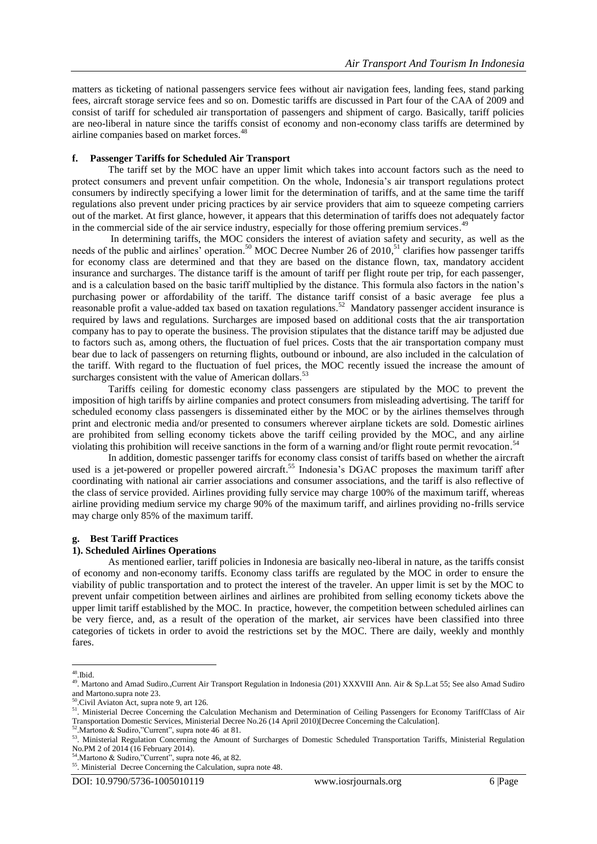matters as ticketing of national passengers service fees without air navigation fees, landing fees, stand parking fees, aircraft storage service fees and so on. Domestic tariffs are discussed in Part four of the CAA of 2009 and consist of tariff for scheduled air transportation of passengers and shipment of cargo. Basically, tariff policies are neo-liberal in nature since the tariffs consist of economy and non-economy class tariffs are determined by airline companies based on market forces. 48

# **f. Passenger Tariffs for Scheduled Air Transport**

The tariff set by the MOC have an upper limit which takes into account factors such as the need to protect consumers and prevent unfair competition. On the whole, Indonesia's air transport regulations protect consumers by indirectly specifying a lower limit for the determination of tariffs, and at the same time the tariff regulations also prevent under pricing practices by air service providers that aim to squeeze competing carriers out of the market. At first glance, however, it appears that this determination of tariffs does not adequately factor in the commercial side of the air service industry, especially for those offering premium services.<sup>49</sup>

In determining tariffs, the MOC considers the interest of aviation safety and security, as well as the needs of the public and airlines' operation.<sup>50</sup> MOC Decree Number 26 of 2010,<sup>51</sup> clarifies how passenger tariffs for economy class are determined and that they are based on the distance flown, tax, mandatory accident insurance and surcharges. The distance tariff is the amount of tariff per flight route per trip, for each passenger, and is a calculation based on the basic tariff multiplied by the distance. This formula also factors in the nation's purchasing power or affordability of the tariff. The distance tariff consist of a basic average fee plus a reasonable profit a value-added tax based on taxation regulations.<sup>52</sup> Mandatory passenger accident insurance is required by laws and regulations. Surcharges are imposed based on additional costs that the air transportation company has to pay to operate the business. The provision stipulates that the distance tariff may be adjusted due to factors such as, among others, the fluctuation of fuel prices. Costs that the air transportation company must bear due to lack of passengers on returning flights, outbound or inbound, are also included in the calculation of the tariff. With regard to the fluctuation of fuel prices, the MOC recently issued the increase the amount of surcharges consistent with the value of American dollars.<sup>53</sup>

Tariffs ceiling for domestic economy class passengers are stipulated by the MOC to prevent the imposition of high tariffs by airline companies and protect consumers from misleading advertising. The tariff for scheduled economy class passengers is disseminated either by the MOC or by the airlines themselves through print and electronic media and/or presented to consumers wherever airplane tickets are sold. Domestic airlines are prohibited from selling economy tickets above the tariff ceiling provided by the MOC, and any airline violating this prohibition will receive sanctions in the form of a warning and/or flight route permit revocation.<sup>54</sup>

In addition, domestic passenger tariffs for economy class consist of tariffs based on whether the aircraft used is a jet-powered or propeller powered aircraft.<sup>55</sup> Indonesia's DGAC proposes the maximum tariff after coordinating with national air carrier associations and consumer associations, and the tariff is also reflective of the class of service provided. Airlines providing fully service may charge 100% of the maximum tariff, whereas airline providing medium service my charge 90% of the maximum tariff, and airlines providing no-frills service may charge only 85% of the maximum tariff.

## **g. Best Tariff Practices**

#### **1). Scheduled Airlines Operations**

As mentioned earlier, tariff policies in Indonesia are basically neo-liberal in nature, as the tariffs consist of economy and non-economy tariffs. Economy class tariffs are regulated by the MOC in order to ensure the viability of public transportation and to protect the interest of the traveler. An upper limit is set by the MOC to prevent unfair competition between airlines and airlines are prohibited from selling economy tickets above the upper limit tariff established by the MOC. In practice, however, the competition between scheduled airlines can be very fierce, and, as a result of the operation of the market, air services have been classified into three categories of tickets in order to avoid the restrictions set by the MOC. There are daily, weekly and monthly fares.

 48 .Ibid.

<sup>49.</sup> Martono and Amad Sudiro.,Current Air Transport Regulation in Indonesia (201) XXXVIII Ann. Air & Sp.L.at 55; See also Amad Sudiro and Martono.supra note 23.

<sup>50</sup> .Civil Aviaton Act, supra note 9, art 126.

<sup>&</sup>lt;sup>51</sup>. Ministerial Decree Concerning the Calculation Mechanism and Determination of Ceiling Passengers for Economy TariffClass of Air Transportation Domestic Services, Ministerial Decree No.26 (14 April 2010)[Decree Concerning the Calculation].

<sup>&</sup>lt;sup>52</sup>. Martono & Sudiro, "Current", supra note 46 at 81.

<sup>53.</sup> Ministerial Regulation Concerning the Amount of Surcharges of Domestic Scheduled Transportation Tariffs, Ministerial Regulation No.PM 2 of 2014 (16 February 2014).

<sup>54.</sup> Martono & Sudiro, "Current", supra note 46, at 82.

<sup>55</sup> . Ministerial Decree Concerning the Calculation, supra note 48.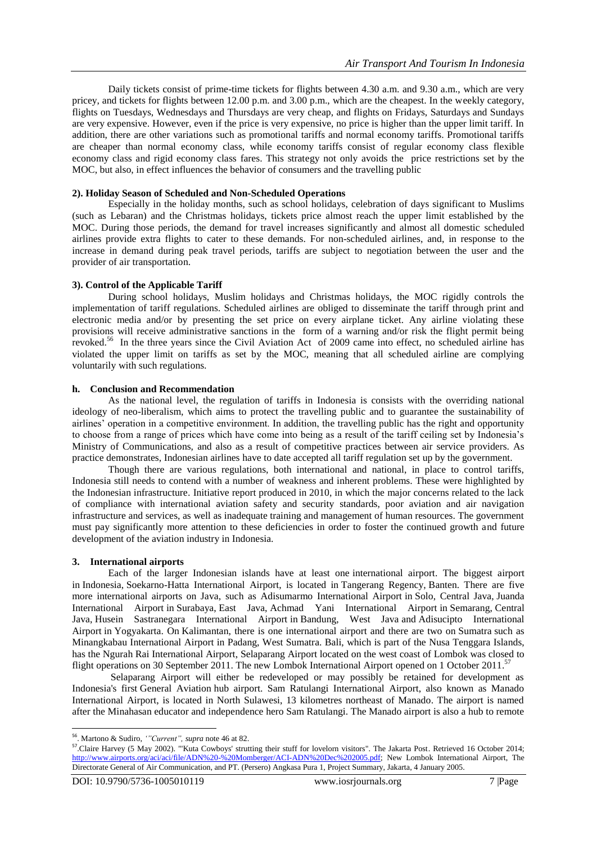Daily tickets consist of prime-time tickets for flights between 4.30 a.m. and 9.30 a.m., which are very pricey, and tickets for flights between 12.00 p.m. and 3.00 p.m., which are the cheapest. In the weekly category, flights on Tuesdays, Wednesdays and Thursdays are very cheap, and flights on Fridays, Saturdays and Sundays are very expensive. However, even if the price is very expensive, no price is higher than the upper limit tariff. In addition, there are other variations such as promotional tariffs and normal economy tariffs. Promotional tariffs are cheaper than normal economy class, while economy tariffs consist of regular economy class flexible economy class and rigid economy class fares. This strategy not only avoids the price restrictions set by the MOC, but also, in effect influences the behavior of consumers and the travelling public

## **2). Holiday Season of Scheduled and Non-Scheduled Operations**

Especially in the holiday months, such as school holidays, celebration of days significant to Muslims (such as Lebaran) and the Christmas holidays, tickets price almost reach the upper limit established by the MOC. During those periods, the demand for travel increases significantly and almost all domestic scheduled airlines provide extra flights to cater to these demands. For non-scheduled airlines, and, in response to the increase in demand during peak travel periods, tariffs are subject to negotiation between the user and the provider of air transportation.

## **3). Control of the Applicable Tariff**

During school holidays, Muslim holidays and Christmas holidays, the MOC rigidly controls the implementation of tariff regulations. Scheduled airlines are obliged to disseminate the tariff through print and electronic media and/or by presenting the set price on every airplane ticket. Any airline violating these provisions will receive administrative sanctions in the form of a warning and/or risk the flight permit being revoked.<sup>56</sup> In the three years since the Civil Aviation Act of 2009 came into effect, no scheduled airline has violated the upper limit on tariffs as set by the MOC, meaning that all scheduled airline are complying voluntarily with such regulations.

## **h. Conclusion and Recommendation**

As the national level, the regulation of tariffs in Indonesia is consists with the overriding national ideology of neo-liberalism, which aims to protect the travelling public and to guarantee the sustainability of airlines' operation in a competitive environment. In addition, the travelling public has the right and opportunity to choose from a range of prices which have come into being as a result of the tariff ceiling set by Indonesia's Ministry of Communications, and also as a result of competitive practices between air service providers. As practice demonstrates, Indonesian airlines have to date accepted all tariff regulation set up by the government.

Though there are various regulations, both international and national, in place to control tariffs, Indonesia still needs to contend with a number of weakness and inherent problems. These were highlighted by the Indonesian infrastructure. Initiative report produced in 2010, in which the major concerns related to the lack of compliance with international aviation safety and security standards, poor aviation and air navigation infrastructure and services, as well as inadequate training and management of human resources. The government must pay significantly more attention to these deficiencies in order to foster the continued growth and future development of the aviation industry in Indonesia.

# **3. International airports**

Each of the larger Indonesian islands have at least one [international airport.](https://en.wikipedia.org/wiki/International_airport) The biggest airport in [Indonesia,](https://en.wikipedia.org/wiki/Indonesia) [Soekarno-Hatta International Airport,](https://en.wikipedia.org/wiki/Soekarno-Hatta_International_Airport) is located in [Tangerang Regency,](https://en.wikipedia.org/wiki/Tangerang_Regency) [Banten.](https://en.wikipedia.org/wiki/Banten) There are five more international airports on Java, such as [Adisumarmo International Airport](https://en.wikipedia.org/wiki/Adisumarmo_International_Airport) in [Solo, Central Java,](https://en.wikipedia.org/wiki/Solo,_Central_Java) [Juanda](https://en.wikipedia.org/wiki/Juanda_International_Airport)  [International Airport](https://en.wikipedia.org/wiki/Juanda_International_Airport) in [Surabaya,](https://en.wikipedia.org/wiki/Surabaya) [East Java,](https://en.wikipedia.org/wiki/East_Java) [Achmad Yani International Airport](https://en.wikipedia.org/wiki/Achmad_Yani_Airport) in [Semarang,](https://en.wikipedia.org/wiki/Semarang) [Central](https://en.wikipedia.org/wiki/Central_Java)  [Java,](https://en.wikipedia.org/wiki/Central_Java) [Husein Sastranegara International Airport](https://en.wikipedia.org/wiki/Husein_Sastranegara_International_Airport) in [Bandung, West Java](https://en.wikipedia.org/wiki/Bandung,_West_Java) and [Adisucipto International](https://en.wikipedia.org/wiki/Adisucipto_International_Airport)  [Airport](https://en.wikipedia.org/wiki/Adisucipto_International_Airport) in [Yogyakarta.](https://en.wikipedia.org/wiki/Yogyakarta_(city)) On [Kalimantan,](https://en.wikipedia.org/wiki/Kalimantan) there is one international airport and there are two on [Sumatra](https://en.wikipedia.org/wiki/Sumatra) such as Minangkabau International Airport in Padang, West Sumatra. [Bali,](https://en.wikipedia.org/wiki/Bali) which is part of the Nusa Tenggara Islands, has the [Ngurah Rai International Airport,](https://en.wikipedia.org/wiki/Ngurah_Rai_Airport) [Selaparang Airport](https://en.wikipedia.org/wiki/Selaparang_Airport) located on the west coast of [Lombok](https://en.wikipedia.org/wiki/Lombok) was closed to flight operations on 30 September 2011. The new [Lombok International Airport](https://en.wikipedia.org/wiki/Lombok_International_Airport) opened on 1 October 2011.<sup>57</sup>

Selaparang Airport will either be redeveloped or may possibly be retained for development as Indonesia's first [General Aviation](https://en.wikipedia.org/wiki/General_Aviation) hub airport. Sam Ratulangi International Airport, also known as Manado International Airport, is located in North Sulawesi, 13 kilometres northeast of Manado. The airport is named after the Minahasan educator and independence hero Sam Ratulangi. The Manado airport is also a hub to remote

 56 . Martono & Sudiro, *'"Current", supra* note 46 at 82. 57 .Claire Harvey (5 May 2002). "'Kuta Cowboys' strutting their stuff for lovelorn visitors". The Jakarta Post. Retrieved 16 October 2014; [http://www.airports.org/aci/aci/file/ADN%20-%20Momberger/ACI-ADN%20Dec%202005.pdf;](http://www.airports.org/aci/aci/file/ADN%20-%20Momberger/ACI-ADN%20Dec%202005.pdf) New Lombok International Airport, The Directorate General of Air Communication, and PT. (Persero) Angkasa Pura 1, Project Summary, Jakarta, 4 January 2005.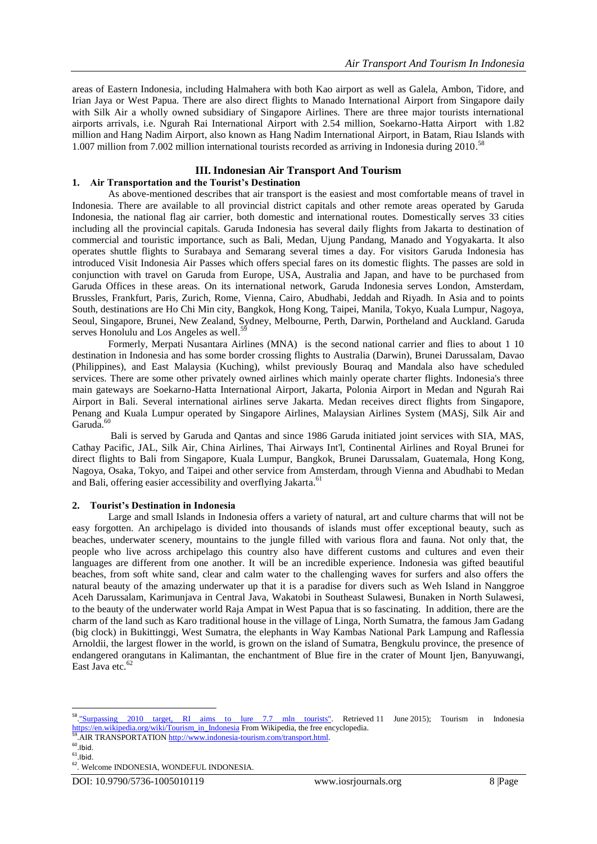areas of Eastern Indonesia, including Halmahera with both Kao airport as well as Galela, Ambon, Tidore, and Irian Jaya or West Papua. There are also direct flights to Manado International Airport from Singapore daily with Silk Air a wholly owned subsidiary of Singapore Airlines. There are three major tourists international airports arrivals, i.e. Ngurah Rai International Airport with 2.54 million, Soekarno-Hatta Airport with 1.82 million and [Hang Nadim Airport,](https://en.wikipedia.org/wiki/Hang_Nadim_Airport) also known as Hang Nadim International Airport, in [Batam,](https://en.wikipedia.org/wiki/Batam) [Riau Islands](https://en.wikipedia.org/wiki/Riau_Islands) with 1.007 million from 7.002 million international tourists recorded as arriving in Indonesia during 2010. 58

# **III. Indonesian Air Transport And Tourism**

# **1. Air Transportation and the Tourist's Destination**

As above-mentioned describes that air transport is the easiest and most comfortable means of travel in Indonesia. There are available to all provincial district capitals and other remote areas operated by Garuda Indonesia, the national flag air carrier, both domestic and international routes. Domestically serves 33 cities including all the provincial capitals. Garuda Indonesia has several daily flights from Jakarta to destination of commercial and touristic importance, such as Bali, Medan, Ujung Pandang, Manado and Yogyakarta. It also operates shuttle flights to Surabaya and Semarang several times a day. For visitors Garuda Indonesia has introduced Visit Indonesia Air Passes which offers special fares on its domestic flights. The passes are sold in conjunction with travel on Garuda from Europe, USA, Australia and Japan, and have to be purchased from Garuda Offices in these areas. On its international network, Garuda Indonesia serves London, Amsterdam, Brussles, Frankfurt, Paris, Zurich, Rome, Vienna, Cairo, Abudhabi, Jeddah and Riyadh. In Asia and to points South, destinations are Ho Chi Min city, Bangkok, Hong Kong, Taipei, Manila, Tokyo, Kuala Lumpur, Nagoya, Seoul, Singapore, Brunei, New Zealand, Sydney, Melbourne, Perth, Darwin, Portheland and Auckland. Garuda serves Honolulu and Los Angeles as well.<sup>59</sup>

Formerly, Merpati Nusantara Airlines (MNA) is the second national carrier and flies to about 1 10 destination in Indonesia and has some border crossing flights to Australia (Darwin), Brunei Darussalam, Davao (Philippines), and East Malaysia (Kuching), whilst previously Bouraq and Mandala also have scheduled services. There are some other privately owned airlines which mainly operate charter flights. Indonesia's three main gateways are Soekarno-Hatta International Airport, Jakarta, Polonia Airport in Medan and Ngurah Rai Airport in Bali. Several international airlines serve Jakarta. Medan receives direct flights from Singapore, Penang and Kuala Lumpur operated by Singapore Airlines, Malaysian Airlines System (MASj, Silk Air and Garuda.<sup>60</sup>

Bali is served by Garuda and Qantas and since 1986 Garuda initiated joint services with SIA, MAS, Cathay Pacific, JAL, Silk Air, China Airlines, Thai Airways Int'l, Continental Airlines and Royal Brunei for direct flights to Bali from Singapore, Kuala Lumpur, Bangkok, Brunei Darussalam, Guatemala, Hong Kong, Nagoya, Osaka, Tokyo, and Taipei and other service from Amsterdam, through Vienna and Abudhabi to Medan and Bali, offering easier accessibility and overflying Jakarta.<sup>61</sup>

# **2. Tourist's Destination in Indonesia**

Large and small Islands in Indonesia offers a variety of natural, art and culture charms that will not be easy forgotten. An archipelago is divided into thousands of islands must offer exceptional beauty, such as beaches, underwater scenery, mountains to the jungle filled with various flora and fauna. Not only that, the people who live across archipelago this country also have different customs and cultures and even their languages are different from one another. It will be an incredible experience. Indonesia was gifted beautiful beaches, from soft white sand, clear and calm water to the challenging waves for surfers and also offers the natural beauty of the amazing underwater up that it is a paradise for divers such as Weh Island in Nanggroe Aceh Darussalam, Karimunjava in Central Java, Wakatobi in Southeast Sulawesi, Bunaken in North Sulawesi, to the beauty of the underwater world Raja Ampat in West Papua that is so fascinating. In addition, there are the charm of the land such as Karo traditional house in the village of Linga, North Sumatra, the famous Jam Gadang (big clock) in Bukittinggi, West Sumatra, the elephants in Way Kambas National Park Lampung and Raflessia Arnoldii, the largest flower in the world, is grown on the island of Sumatra, Bengkulu province, the presence of endangered orangutans in Kalimantan, the enchantment of Blue fire in the crater of Mount Ijen, Banyuwangi, East Java etc. $62$ 

 $\frac{1}{58}$ RI aims to lure 7.7 mln tourists". Retrieved 11 June 2015); Tourism in Indonesia [https://en.wikipedia.org/wiki/Tourism\\_in\\_Indonesia](https://en.wikipedia.org/wiki/Tourism_in_Indonesia) From Wikipedia, the free encyclopedia.<br><sup>59</sup>.AIR TRANSPORTATIO[N http://www.indonesia-tourism.com/transport.html.](http://www.indonesia-tourism.com/transport.html)

 $60$ .lbid.

 $61$ .lbid.

<sup>62</sup> . Welcome INDONESIA, WONDEFUL INDONESIA.

DOI: 10.9790/5736-1005010119 www.iosrjournals.org 8 |Page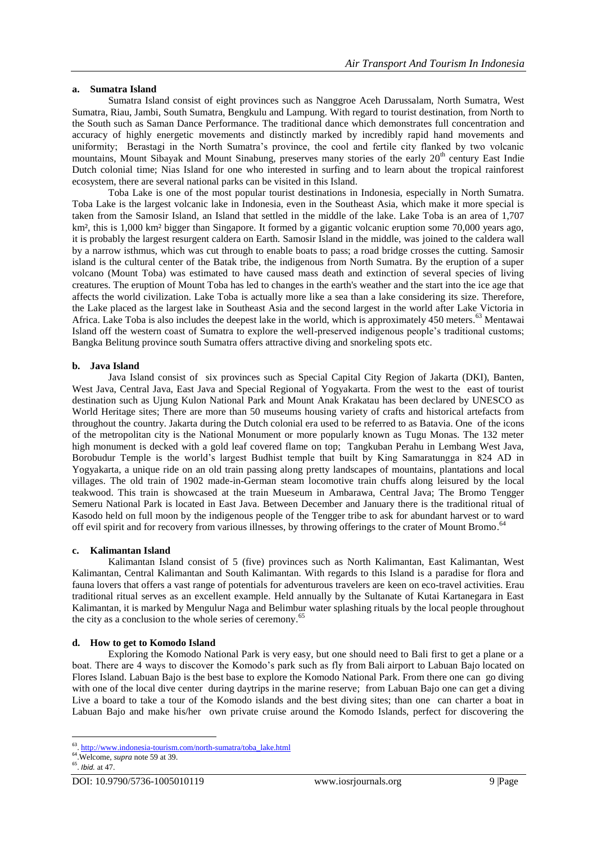# **a. Sumatra Island**

Sumatra Island consist of eight provinces such as Nanggroe Aceh Darussalam, North Sumatra, West Sumatra, Riau, Jambi, South Sumatra, Bengkulu and Lampung. With regard to tourist destination, from North to the South such as Saman Dance Performance. The traditional dance which demonstrates full concentration and accuracy of highly energetic movements and distinctly marked by incredibly rapid hand movements and uniformity; Berastagi in the North Sumatra's province, the cool and fertile city flanked by two volcanic mountains, Mount Sibayak and Mount Sinabung, preserves many stories of the early 20<sup>th</sup> century East Indie Dutch colonial time; Nias Island for one who interested in surfing and to learn about the tropical rainforest ecosystem, there are several national parks can be visited in this Island.

Toba Lake is one of the most popular tourist destinations in Indonesia, especially in North Sumatra. Toba Lake is the largest volcanic lake in Indonesia, even in the Southeast Asia, which make it more special is taken from the Samosir Island, an Island that settled in the middle of the lake. Lake Toba is an area of 1,707 km², this is 1,000 km² bigger than Singapore. It formed by a gigantic volcanic eruption some 70,000 years ago, it is probably the largest resurgent caldera on Earth. Samosir Island in the middle, was joined to the caldera wall by a narrow isthmus, which was cut through to enable boats to pass; a road bridge crosses the cutting. Samosir island is the cultural center of the Batak tribe, the indigenous from North Sumatra. By the eruption of a super volcano (Mount Toba) was estimated to have caused mass death and extinction of several species of living creatures. The eruption of Mount Toba has led to changes in the earth's weather and the start into the ice age that affects the world civilization. Lake Toba is actually more like a sea than a lake considering its size. Therefore, the Lake placed as the largest lake in Southeast Asia and the second largest in the world after Lake Victoria in Africa. Lake Toba is also includes the deepest lake in the world, which is approximately 450 meters.<sup>63</sup> Mentawai Island off the western coast of Sumatra to explore the well-preserved indigenous people's traditional customs; Bangka Belitung province south Sumatra offers attractive diving and snorkeling spots etc.

## **b. Java Island**

Java Island consist of six provinces such as Special Capital City Region of Jakarta (DKI), Banten, West Java, Central Java, East Java and Special Regional of Yogyakarta. From the west to the east of tourist destination such as Ujung Kulon National Park and Mount Anak Krakatau has been declared by UNESCO as World Heritage sites; There are more than 50 museums housing variety of crafts and historical artefacts from throughout the country. Jakarta during the Dutch colonial era used to be referred to as Batavia. One of the icons of the metropolitan city is the National Monument or more popularly known as Tugu Monas. The 132 meter high monument is decked with a gold leaf covered flame on top; Tangkuban Perahu in Lembang West Java, Borobudur Temple is the world's largest Budhist temple that built by King Samaratungga in 824 AD in Yogyakarta, a unique ride on an old train passing along pretty landscapes of mountains, plantations and local villages. The old train of 1902 made-in-German steam locomotive train chuffs along leisured by the local teakwood. This train is showcased at the train Mueseum in Ambarawa, Central Java; The Bromo Tengger Semeru National Park is located in East Java. Between December and January there is the traditional ritual of Kasodo held on full moon by the indigenous people of the Tengger tribe to ask for abundant harvest or to ward off evil spirit and for recovery from various illnesses, by throwing offerings to the crater of Mount Bromo.<sup>64</sup>

#### **c. Kalimantan Island**

Kalimantan Island consist of 5 (five) provinces such as North Kalimantan, East Kalimantan, West Kalimantan, Central Kalimantan and South Kalimantan. With regards to this Island is a paradise for flora and fauna lovers that offers a vast range of potentials for adventurous travelers are keen on eco-travel activities. Erau traditional ritual serves as an excellent example. Held annually by the Sultanate of Kutai Kartanegara in East Kalimantan, it is marked by Mengulur Naga and Belimbur water splashing rituals by the local people throughout the city as a conclusion to the whole series of ceremony. 65

#### **d. How to get to Komodo Island**

Exploring the Komodo National Park is very easy, but one should need to Bali first to get a plane or a boat. There are 4 ways to discover the Komodo's park such as fly from Bali airport to Labuan Bajo located on Flores Island. Labuan Bajo is the best base to explore the Komodo National Park. From there one can go diving with one of the local dive center during daytrips in the marine reserve; from Labuan Bajo one can get a diving Live a board to take a tour of the Komodo islands and the best diving sites; than one can charter a boat in Labuan Bajo and make his/her own private cruise around the Komodo Islands, perfect for discovering the

<sup>-&</sup>lt;br><sup>63</sup>. <u>[http://www.indonesia-tourism.com/north-sumatra/toba\\_lake.html](http://www.indonesia-tourism.com/north-sumatra/toba_lake.html)</u>

<sup>64</sup> .Welcome, *supra* note 59 at 39.

<sup>65</sup> . *Ibid.* at 47.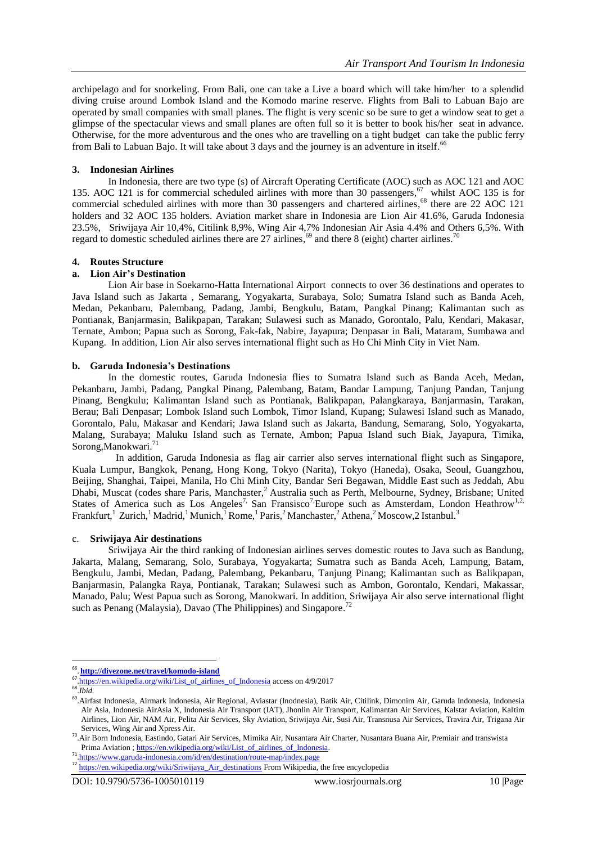archipelago and for snorkeling. From Bali, one can take a Live a board which will take him/her to a splendid diving cruise around Lombok Island and the Komodo marine reserve. Flights from Bali to Labuan Bajo are operated by small companies with small planes. The flight is very scenic so be sure to get a window seat to get a glimpse of the spectacular views and small planes are often full so it is better to book his/her seat in advance. Otherwise, for the more adventurous and the ones who are travelling on a tight budget can take the public ferry from Bali to Labuan Bajo. It will take about 3 days and the journey is an adventure in itself.<sup>66</sup>

# **3. Indonesian Airlines**

In Indonesia, there are two type (s) of Aircraft Operating Certificate (AOC) such as AOC 121 and AOC 135. AOC 121 is for commercial scheduled airlines with more than 30 passengers, <sup>67</sup> whilst AOC 135 is for commercial scheduled airlines with more than 30 passengers and chartered airlines, <sup>68</sup> there are 22 AOC 121 holders and 32 AOC 135 holders. Aviation market share in Indonesia are Lion Air 41.6%, Garuda Indonesia 23.5%, Sriwijaya Air 10,4%, Citilink 8,9%, Wing Air 4,7% Indonesian Air Asia 4.4% and Others 6,5%. With regard to domestic scheduled airlines there are 27 airlines,<sup>69</sup> and there 8 (eight) charter airlines.<sup>70</sup>

## **4. Routes Structure**

## **a. Lion Air's Destination**

Lion Air base in Soekarno-Hatta International Airport connects to over 36 destinations and operates to Java Island such as Jakarta , Semarang, Yogyakarta, Surabaya, Solo; Sumatra Island such as Banda Aceh, Medan, Pekanbaru, Palembang, Padang, Jambi, Bengkulu, Batam, Pangkal Pinang; Kalimantan such as Pontianak, Banjarmasin, Balikpapan, Tarakan; Sulawesi such as Manado, Gorontalo, Palu, Kendari, Makasar, Ternate, Ambon; Papua such as Sorong, Fak-fak, Nabire, Jayapura; Denpasar in Bali, Mataram, Sumbawa and Kupang. In addition, Lion Air also serves international flight such as Ho Chi Minh City in Viet Nam.

#### **b. Garuda Indonesia's Destinations**

In the domestic routes, Garuda Indonesia flies to Sumatra Island such as Banda Aceh, Medan, Pekanbaru, Jambi, Padang, Pangkal Pinang, Palembang, Batam, Bandar Lampung, Tanjung Pandan, Tanjung Pinang, Bengkulu; Kalimantan Island such as Pontianak, Balikpapan, Palangkaraya, Banjarmasin, Tarakan, Berau; Bali Denpasar; Lombok Island such Lombok, Timor Island, Kupang; Sulawesi Island such as Manado, Gorontalo, Palu, Makasar and Kendari; Jawa Island such as Jakarta, Bandung, Semarang, Solo, Yogyakarta, Malang, Surabaya; Maluku Island such as Ternate, Ambon; Papua Island such Biak, Jayapura, Timika, Sorong,Manokwari. 71

 In addition, Garuda Indonesia as flag air carrier also serves international flight such as Singapore, Kuala Lumpur, Bangkok, Penang, Hong Kong, Tokyo (Narita), Tokyo (Haneda), Osaka, Seoul, Guangzhou, Beijing, Shanghai, Taipei, Manila, Ho Chi Minh City, Bandar Seri Begawan, Middle East such as Jeddah, Abu Dhabi, Muscat (codes share Paris, Manchaster,<sup>2</sup> Australia such as Perth, Melbourne, Sydney, Brisbane; United States of America such as Los Angeles<sup>7,</sup> San Fransisco<sup>7</sup> Europe such as Amsterdam, London Heathrow<sup>1,2,</sup> Frankfurt,<sup>1</sup> Zurich,<sup>1</sup> Madrid,<sup>1</sup> Munich,<sup>1</sup> Rome,<sup>1</sup> Paris,<sup>2</sup> Manchaster,<sup>2</sup> Athena,<sup>2</sup> Moscow,2 Istanbul.<sup>3</sup>

# c. **Sriwijaya Air destinations**

Sriwijaya Air the third ranking of Indonesian airlines serves domestic routes to Java such as Bandung, Jakarta, Malang, Semarang, Solo, Surabaya, Yogyakarta; Sumatra such as Banda Aceh, Lampung, Batam, Bengkulu, Jambi, Medan, Padang, Palembang, Pekanbaru, Tanjung Pinang; Kalimantan such as Balikpapan, Banjarmasin, Palangka Raya, Pontianak, Tarakan; Sulawesi such as Ambon, Gorontalo, Kendari, Makassar, Manado, Palu; West Papua such as Sorong, Manokwari. In addition, Sriwijaya Air also serve international flight such as Penang (Malaysia), Davao (The Philippines) and Singapore.<sup>72</sup>

<sup>66</sup> . **<http://divezone.net/travel/komodo-island>**

<sup>&</sup>lt;sup>67</sup>.[https://en.wikipedia.org/wiki/List\\_of\\_airlines\\_of\\_Indonesia](https://en.wikipedia.org/wiki/List_of_airlines_of_Indonesia) access on 4/9/2017

<sup>68</sup> .*Ibid.*

<sup>&</sup>lt;sup>69</sup>. Airfast Indonesia, Airmark Indonesia, Air Regional, Aviastar (Inodnesia), Batik Air, Citilink, Dimonim Air, Garuda Indonesia, Indonesia Air Asia, Indonesia AirAsia X, Indonesia Air Transport (IAT), Jhonlin Air Transport, Kalimantan Air Services, Kalstar Aviation, Kaltim Airlines, Lion Air, NAM Air, Pelita Air Services, Sky Aviation, Sriwijaya Air, Susi Air, Transnusa Air Services, Travira Air, Trigana Air Services, Wing Air and Xpress Air.

<sup>70</sup> .Air Born Indonesia, Eastindo, Gatari Air Services, Mimika Air, Nusantara Air Charter, Nusantara Buana Air, Premiair and transwista Prima Aviation ; https://en.wikipedia.org/wiki/List\_of\_airlines\_of\_Indonesia

<sup>&</sup>lt;sup>71</sup>.<https://www.garuda-indonesia.com/id/en/destination/route-map/index.page>

<sup>72</sup> [https://en.wikipedia.org/wiki/Sriwijaya\\_Air\\_destinations](https://en.wikipedia.org/wiki/Sriwijaya_Air_destinations) From Wikipedia, the free encyclopedia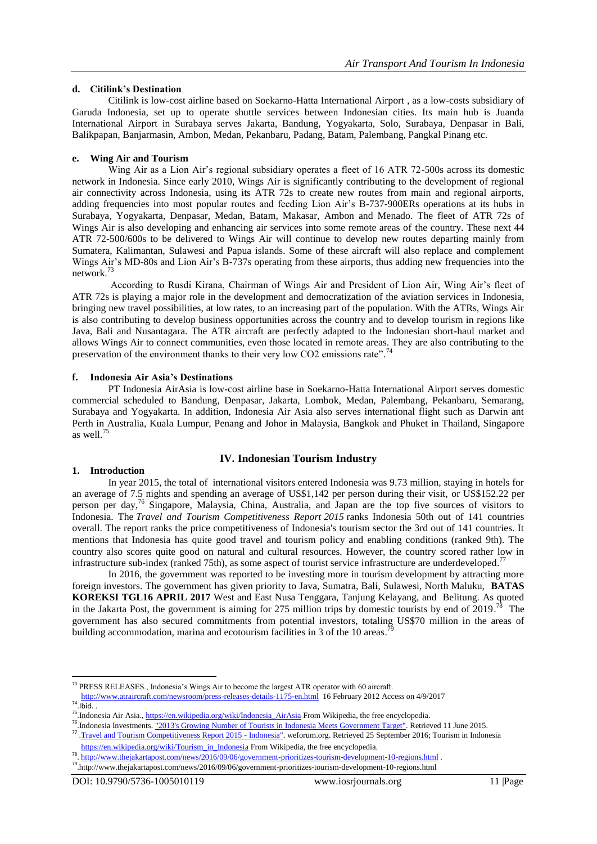## **d. Citilink's Destination**

Citilink is low-cost airline based on Soekarno-Hatta International Airport , as a low-costs subsidiary of Garuda Indonesia, set up to operate shuttle services between Indonesian cities. Its main hub is Juanda International Airport in Surabaya serves Jakarta, Bandung, Yogyakarta, Solo, Surabaya, Denpasar in Bali, Balikpapan, Banjarmasin, Ambon, Medan, Pekanbaru, Padang, Batam, Palembang, Pangkal Pinang etc.

# **e. Wing Air and Tourism**

Wing Air as a Lion Air's regional subsidiary operates a fleet of 16 ATR 72-500s across its domestic network in Indonesia. Since early 2010, Wings Air is significantly contributing to the development of regional air connectivity across Indonesia, using its ATR 72s to create new routes from main and regional airports, adding frequencies into most popular routes and feeding Lion Air's B-737-900ERs operations at its hubs in Surabaya, Yogyakarta, Denpasar, Medan, Batam, Makasar, Ambon and Menado. The fleet of ATR 72s of Wings Air is also developing and enhancing air services into some remote areas of the country. These next 44 ATR 72-500/600s to be delivered to Wings Air will continue to develop new routes departing mainly from Sumatera, Kalimantan, Sulawesi and Papua islands. Some of these aircraft will also replace and complement Wings Air's MD-80s and Lion Air's B-737s operating from these airports, thus adding new frequencies into the network.<sup>73</sup>

According to Rusdi Kirana, Chairman of Wings Air and President of Lion Air, Wing Air's fleet of ATR 72s is playing a major role in the development and democratization of the aviation services in Indonesia, bringing new travel possibilities, at low rates, to an increasing part of the population. With the ATRs, Wings Air is also contributing to develop business opportunities across the country and to develop tourism in regions like Java, Bali and Nusantagara. The ATR aircraft are perfectly adapted to the Indonesian short-haul market and allows Wings Air to connect communities, even those located in remote areas. They are also contributing to the preservation of the environment thanks to their very low CO2 emissions rate".<sup>74</sup>

## **f. Indonesia Air Asia's Destinations**

PT Indonesia AirAsia is low-cost airline base in Soekarno-Hatta International Airport serves domestic commercial scheduled to Bandung, Denpasar, Jakarta, Lombok, Medan, Palembang, Pekanbaru, Semarang, Surabaya and Yogyakarta. In addition, Indonesia Air Asia also serves international flight such as Darwin ant Perth in Australia, Kuala Lumpur, Penang and Johor in Malaysia, Bangkok and Phuket in Thailand, Singapore as well. 75

# **IV. Indonesian Tourism Industry**

#### **1. Introduction**

1

In year 2015, the total of international visitors entered Indonesia was 9.73 million, staying in hotels for an average of 7.5 nights and spending an average of US\$1,142 per person during their visit, or US\$152.22 per person per day,<sup>76</sup> Singapore, Malaysia, China, Australia, and Japan are the top five sources of visitors to Indonesia. The *[Travel and Tourism Competitiveness Report](https://en.wikipedia.org/wiki/Travel_and_Tourism_Competitiveness_Report) 2015* ranks Indonesia 50th out of 141 countries overall. The report ranks the price competitiveness of Indonesia's tourism sector the 3rd out of 141 countries. It mentions that Indonesia has quite good travel and tourism policy and enabling conditions (ranked 9th). The country also scores quite good on natural and cultural resources. However, the country scored rather low in infrastructure sub-index (ranked 75th), as some aspect of tourist service infrastructure are underdeveloped.<sup>77</sup>

In 2016, the government was reported to be investing more in tourism development by attracting more foreign investors. The government has given priority to Java, Sumatra, Bali, Sulawesi, North Maluku, **BATAS KOREKSI TGL16 APRIL 2017** West and East Nusa Tenggara, Tanjung Kelayang, and Belitung. As quoted in the Jakarta Post, the government is aiming for 275 million trips by domestic tourists by end of 2019.<sup>78</sup> The government has also secured commitments from potential investors, totaling US\$70 million in the areas of building accommodation, marina and ecotourism facilities in 3 of the 10 areas.<sup>79</sup>

 $<sup>73</sup>$  PRESS RELEASES., Indonesia's Wings Air to become the largest ATR operator with 60 aircraft.</sup>

<http://www.atraircraft.com/newsroom/press-releases-details-1175-en.html>16 February 2012 Access on 4/9/2017  $74$ .Ibid..

<sup>&</sup>lt;sup>75</sup>.Indonesia Air Asia.[, https://en.wikipedia.org/wiki/Indonesia\\_AirAsia](https://en.wikipedia.org/wiki/Indonesia_AirAsia) From Wikipedia, the free encyclopedia.

<sup>&</sup>lt;sup>76</sup>. Indonesia Investments. ["2013's Growing Number of Tourists in Indonesia Meets Government Target".](http://www.indonesia-investments.com/news/todays-headlines/2013s-growing-number-of-tourists-in-indonesia-meets-government-target/item1603) Retrieved 11 June 2015.<br><sup>77</sup> .[Travel and Tourism Competitiveness Report 2015 -](http://reports.weforum.org/travel-and-tourism-competitiveness-report-2015/economies/#economy=IDN) Indonesia". weforum.org. Retrieved 25 Se

[https://en.wikipedia.org/wiki/Tourism\\_in\\_Indonesia](https://en.wikipedia.org/wiki/Tourism_in_Indonesia) From Wikipedia, the free encyclopedia. <sup>78</sup>. <http://www.thejakartapost.com/news/2016/09/06/government-prioritizes-tourism-development-10-regions.html> .

<sup>79</sup> .http://www.thejakartapost.com/news/2016/09/06/government-prioritizes-tourism-development-10-regions.html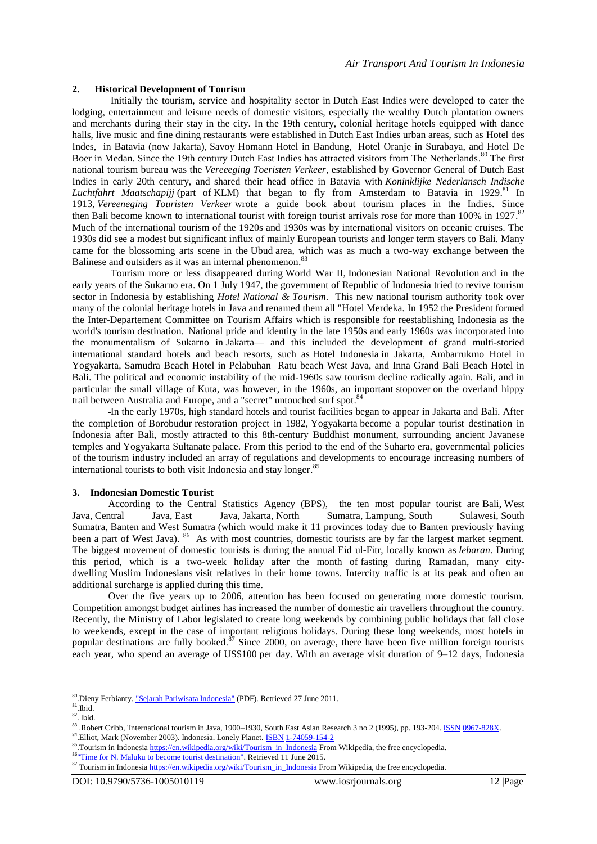# **2. Historical Development of Tourism**

Initially the tourism, service and hospitality sector in [Dutch East Indies](https://en.wikipedia.org/wiki/Dutch_East_Indies) were developed to cater the lodging, entertainment and leisure needs of domestic visitors, especially the wealthy Dutch plantation owners and merchants during their stay in the city. In the 19th century, colonial heritage hotels equipped with dance halls, live music and fine dining restaurants were established in Dutch East Indies urban areas, such as [Hotel des](https://en.wikipedia.org/wiki/Hotel_des_Indes_(Batavia))  [Indes,](https://en.wikipedia.org/wiki/Hotel_des_Indes_(Batavia)) in Batavia (now Jakarta), [Savoy Homann Hotel](https://en.wikipedia.org/wiki/Savoy_Homann_Bidakara_Hotel) in Bandung, [Hotel Oranje](https://en.wikipedia.org/wiki/Hotel_Majapahit) in Surabaya, and Hotel De Boer in Medan. Since the 19th century Dutch East Indies has attracted visitors from The Netherlands.<sup>80</sup> The first national tourism bureau was the *Vereeeging Toeristen Verkeer*, established by Governor General of Dutch East Indies in early 20th century, and shared their head office in Batavia with *Koninklijke Nederlansch Indische*  Luchtfahrt Maatschapijj (part of [KLM\)](https://en.wikipedia.org/wiki/KLM) that began to fly from Amsterdam to Batavia in 1929.<sup>81</sup> In 1913, *Vereeneging Touristen Verkeer* wrote a guide book about tourism places in the Indies. Since then [Bali](https://en.wikipedia.org/wiki/Bali) become known to international tourist with foreign tourist arrivals rose for more than 100% in 1927.<sup>82</sup> Much of the international tourism of the 1920s and 1930s was by international visitors on oceanic cruises. The 1930s did see a modest but significant influx of mainly European tourists and longer term stayers to Bali. Many came for the blossoming arts scene in the [Ubud](https://en.wikipedia.org/wiki/Ubud) area, which was as much a two-way exchange between the Balinese and outsiders as it was an internal phenomenon.<sup>83</sup>

Tourism more or less disappeared during [World War II,](https://en.wikipedia.org/wiki/World_War_II) [Indonesian National Revolution](https://en.wikipedia.org/wiki/Indonesian_National_Revolution) and in the early years of the [Sukarno](https://en.wikipedia.org/wiki/Sukarno) era. On 1 July 1947, the government of Republic of Indonesia tried to revive tourism sector in Indonesia by establishing *Hotel National & Tourism*. This new national tourism authority took over many of the colonial heritage hotels in Java and renamed them all "Hotel Merdeka. In 1952 the President formed the Inter-Departement Committee on Tourism Affairs which is responsible for reestablishing Indonesia as the world's tourism destination. National pride and identity in the late 1950s and early 1960s was incorporated into the monumentalism of Sukarno in [Jakarta—](https://en.wikipedia.org/wiki/Jakarta) and this included the development of grand multi-storied international standard hotels and beach resorts, such as [Hotel Indonesia](https://en.wikipedia.org/wiki/Hotel_Indonesia) in Jakarta, Ambarrukmo Hotel in Yogyakarta, Samudra Beach Hotel in Pelabuhan Ratu beach West Java, and Inna Grand Bali Beach Hotel in Bali. The political and economic instability of the mid-1960s saw tourism decline radically again. Bali, and in particular the small village of [Kuta,](https://en.wikipedia.org/wiki/Kuta) was however, in the 1960s, an important [stopover](https://en.wikipedia.org/wiki/Stopover) on the overland hippy trail between [Australia](https://en.wikipedia.org/wiki/Australia) and Europe, and a "secret" untouched surf spot.<sup>84</sup>

In the early 1970s, high standard hotels and tourist facilities began to appear in Jakarta and Bali. After the completion of [Borobudur](https://en.wikipedia.org/wiki/Borobudur) restoration project in 1982, [Yogyakarta](https://en.wikipedia.org/wiki/Yogyakarta_(city)) become a popular tourist destination in Indonesia after Bali, mostly attracted to this 8th-century Buddhist monument, surrounding ancient Javanese temples and [Yogyakarta Sultanate](https://en.wikipedia.org/wiki/Yogyakarta_Sultanate) [palace.](https://en.wikipedia.org/wiki/Kraton_(Indonesia)) From this period to the end of the [Suharto](https://en.wikipedia.org/wiki/Suharto) era, governmental policies of the [tourism industry](https://en.wikipedia.org/wiki/Tourism_industry) included an array of regulations and developments to encourage increasing numbers of international tourists to both visit Indonesia and stay longer.<sup>85</sup>

#### **3. Indonesian Domestic Tourist**

According to the Central Statistics Agency (BPS), the ten most popular tourist are [Bali,](https://en.wikipedia.org/wiki/Bali) [West](https://en.wikipedia.org/wiki/West_Java)  [Java,](https://en.wikipedia.org/wiki/West_Java) [Central Java,](https://en.wikipedia.org/wiki/Central_Java) [East Java,](https://en.wikipedia.org/wiki/East_Java) [Jakarta,](https://en.wikipedia.org/wiki/Jakarta) [North Sumatra,](https://en.wikipedia.org/wiki/North_Sumatra) [Lampung,](https://en.wikipedia.org/wiki/Lampung) [South Sulawesi,](https://en.wikipedia.org/wiki/South_Sulawesi) [South](https://en.wikipedia.org/wiki/South_Sumatra)  [Sumatra,](https://en.wikipedia.org/wiki/South_Sumatra) [Banten](https://en.wikipedia.org/wiki/Banten) and [West Sumatra](https://en.wikipedia.org/wiki/West_Sumatra) (which would make it 11 provinces today due to Banten previously having been a part of West Java). <sup>86</sup> As with most countries, domestic tourists are by far the largest market segment. The biggest movement of domestic tourists is during the annual [Eid ul-Fitr,](https://en.wikipedia.org/wiki/Eid_ul-Fitr) locally known as *[lebaran](https://en.wikipedia.org/wiki/Lebaran)*. During this period, which is a two-week holiday after the month of [fasting during Ramadan,](https://en.wikipedia.org/wiki/Fasting_during_Ramadan) many citydwelling [Muslim Indonesians](https://en.wikipedia.org/wiki/Islam_in_Indonesia) visit relatives in their home towns. Intercity traffic is at its peak and often an additional surcharge is applied during this time.

Over the five years up to 2006, attention has been focused on generating more domestic tourism. Competition amongst [budget airlines](https://en.wikipedia.org/wiki/Budget_airlines) has increased the number of domestic air travellers throughout the country. Recently, the Ministry of Labor legislated to create long weekends by combining [public holidays](https://en.wikipedia.org/wiki/Public_holidays_in_Indonesia) that fall close to weekends, except in the case of important religious holidays. During these long weekends, most hotels in popular destinations are fully booked.<sup>87</sup> Since 2000, on average, there have been five million foreign tourists each year, who spend an average of US\$100 per day. With an average visit duration of 9–12 days, Indonesia

<sup>&</sup>lt;sup>80</sup>.Dieny Ferbianty. ["Sejarah Pariwisata Indonesia"](http://www.scribd.com/doc/56647863/Sejarah-Pariwisata-Indonesia) (PDF). Retrieved 27 June 2011.

<sup>81</sup> .Ibid.

 $82$ . Ibid.

<sup>83 .</sup>Robert Cribb, 'International tourism in Java, 1900–1930, South East Asian Research 3 no 2 (1995), pp. 193-204. [ISSN](https://en.wikipedia.org/wiki/International_Standard_Serial_Number) [0967-828X.](https://www.worldcat.org/search?fq=x0:jrnl&q=n2:0967-828X) <sup>84</sup>. Elliot, Mark (November 2003). Indonesia. Lonely Planet. **[ISBN](https://en.wikipedia.org/wiki/International_Standard_Book_Number) [1-74059-154-2](https://en.wikipedia.org/wiki/Special:BookSources/1-74059-154-2)** 

<sup>&</sup>lt;sup>85</sup>.Tourism in Indonesi[a https://en.wikipedia.org/wiki/Tourism\\_in\\_Indonesia](https://en.wikipedia.org/wiki/Tourism_in_Indonesia) From Wikipedia, the free encyclopedia.

<sup>86&</sup>lt;sup>"</sup>Time for N. Maluku to become tourist destination". Retrieved 11 June 2015.

<sup>87</sup> Tourism in Indonesi[a https://en.wikipedia.org/wiki/Tourism\\_in\\_Indonesia](https://en.wikipedia.org/wiki/Tourism_in_Indonesia) From Wikipedia, the free encyclopedia.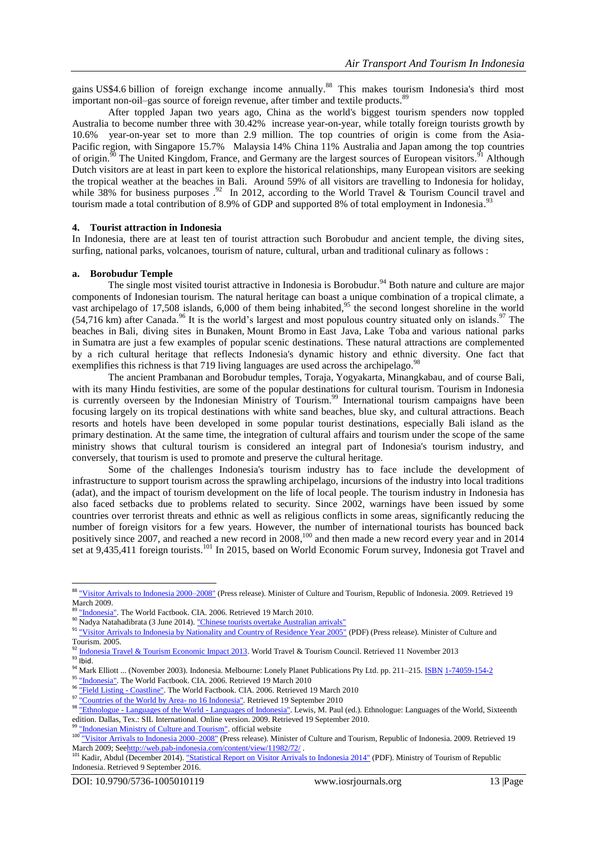gains US\$4.6 billion of foreign exchange income annually.<sup>88</sup> This makes tourism Indonesia's third most important non-oil-[gas](https://en.wikipedia.org/wiki/Gas) source of foreign revenue, after [timber](https://en.wikipedia.org/wiki/Timber) and [textile](https://en.wikipedia.org/wiki/Textile) products.<sup>89</sup>

After toppled Japan two years ago, China as the world's biggest tourism spenders now toppled Australia to become number three with 30.42% increase [year-on-year,](https://en.wikipedia.org/wiki/Annual_growth_%25) while totally foreign tourists growth by 10.6% year-on-year set to more than 2.9 million. The top countries of origin is come from the [Asia-](https://en.wikipedia.org/wiki/Asia-Pacific)[Pacific](https://en.wikipedia.org/wiki/Asia-Pacific) region, with [Singapore](https://en.wikipedia.org/wiki/Singapore) 15.7% [Malaysia](https://en.wikipedia.org/wiki/Malaysia) 14% [China](https://en.wikipedia.org/wiki/China) 11% [Australia](https://en.wikipedia.org/wiki/Australia) and [Japan](https://en.wikipedia.org/wiki/Japan) among the top countries of origin.<sup>90</sup> The [United Kingdom,](https://en.wikipedia.org/wiki/United_Kingdom) [France,](https://en.wikipedia.org/wiki/France) and [Germany](https://en.wikipedia.org/wiki/Germany) are the largest sources of European visitors.<sup>91</sup> Although Dutch visitors are at least in part keen to explore the historical relationships, many European visitors are seeking the tropical weather at the beaches in Bali. Around 59% of all visitors are travelling to Indonesia for holiday, while 38% for business purposes  $.92$  In 2012, according to the World Travel & Tourism Council travel and tourism made a total contribution of 8.9% of GDP and supported 8% of total employment in Indonesia.<sup>93</sup>

#### **4. Tourist attraction in Indonesia**

In Indonesia, there are at least ten of tourist attraction such Borobudur and ancient temple, the diving sites, surfing, national parks, volcanoes, tourism of nature, cultural, urban and traditional culinary as follows :

#### **a. Borobudur Temple**

The single most visited tourist attractive in Indonesia is Borobudur.<sup>94</sup> Both nature and culture are major components of Indonesian [tourism.](https://en.wikipedia.org/wiki/Tourism) The natural heritage can boast a unique combination of a tropical climate, a vast [archipelago](https://en.wikipedia.org/wiki/Archipelago) of 17,508 islands, 6,000 of them being inhabited,<sup>95</sup> the second longest shoreline in the world  $(54,716 \text{ km})$  after Canada.<sup>96</sup> It is the world's largest and most populous country situated only on islands.<sup>97</sup> The beaches in [Bali,](https://en.wikipedia.org/wiki/Bali) diving sites in [Bunaken,](https://en.wikipedia.org/wiki/Bunaken) [Mount Bromo](https://en.wikipedia.org/wiki/Mount_Bromo) in [East Java,](https://en.wikipedia.org/wiki/East_Java) [Lake Toba](https://en.wikipedia.org/wiki/Lake_Toba) and various national parks in [Sumatra](https://en.wikipedia.org/wiki/Sumatra) are just a few examples of popular scenic destinations. These natural attractions are complemented by a rich cultural heritage that reflects Indonesia's dynamic history and ethnic diversity. One fact that exemplifies this richness is that 719 living [languages](https://en.wikipedia.org/wiki/Languages_of_Indonesia) are used across the archipelago.<sup>98</sup>

The ancient [Prambanan](https://en.wikipedia.org/wiki/Prambanan) and [Borobudur](https://en.wikipedia.org/wiki/Borobudur) temples, [Toraja,](https://en.wikipedia.org/wiki/Toraja) [Yogyakarta,](https://en.wikipedia.org/wiki/Yogyakarta) [Minangkabau,](https://en.wikipedia.org/wiki/Minangkabau_people) and of course [Bali,](https://en.wikipedia.org/wiki/Bali) with its many Hindu festivities, are some of the popular destinations for cultural tourism. Tourism in Indonesia is currently overseen by the [Indonesian Ministry of Tourism.](https://en.wikipedia.org/wiki/Ministry_of_Tourism_(Indonesia))<sup>99</sup> International tourism campaigns have been focusing largely on its tropical destinations with white sand beaches, blue sky, and cultural attractions. Beach resorts and hotels have been developed in some popular tourist destinations, especially Bali island as the primary destination. At the same time, the integration of cultural affairs and tourism under the scope of the same ministry shows that cultural tourism is considered an integral part of Indonesia's tourism industry, and conversely, that tourism is used to promote and preserve the cultural heritage.

Some of the challenges Indonesia's tourism industry has to face include the development of infrastructure to support tourism across the sprawling archipelago, incursions of the industry into local traditions [\(adat\)](https://en.wikipedia.org/wiki/Adat), and the impact of tourism development on the life of local people. The tourism industry in Indonesia has also faced setbacks due to problems related to security. Since 2002, warnings have been issued by some countries over terrorist threats and ethnic as well as religious conflicts in some areas, significantly reducing the number of foreign visitors for a few years. However, the number of international tourists has bounced back positively since 2007, and reached a new record in 2008,<sup>100</sup> and then made a new record every year and in 2014 set at 9,435,411 foreign tourists.<sup>101</sup> In 2015, based on [World Economic Forum](https://en.wikipedia.org/wiki/World_Economic_Forum) survey, Indonesia got Travel and

<sup>88</sup> ["Visitor Arrivals to Indonesia 2000–2008"](http://www.budpar.go.id/page.php?ic=621&id=180) (Press release). Minister of Culture and Tourism, Republic of Indonesia. 2009. Retrieved 19  $M<sub>arch</sub> 2009.$ 

<sup>&</sup>lt;sup>89</sup> ["Indonesia".](https://www.cia.gov/library/publications/the-world-factbook/geos/id.html) The World Factbook. CIA. 2006. Retrieved 19 March 2010.

<sup>&</sup>lt;sup>90</sup> Nadya Natahadibrata (3 June 2014). ["Chinese tourists overtake Australian arrivals"](http://www.thejakartapost.com/news/2014/06/03/chinese-tourists-overtake-australian-arrivals.html)

<sup>91</sup> ["Visitor Arrivals to Indonesia by Nationality and Country of Residence Year 2005"](http://www.budpar.go.id/filedata/180_353-NatCor2005.pdf) (PDF) (Press release). Minister of Culture and Tourism. 2005.

<sup>92</sup> [Indonesia Travel & Tourism Economic Impact 2013.](http://wttc.org/site_media/uploads/downloads/indonesia2013_1.pdf) World Travel & Tourism Council. Retrieved 11 November 2013

 $93$  Ibid.

<sup>94</sup> Mark Elliott ... (November 2003). Indonesia. Melbourne: Lonely Planet Publications Pty Ltd. pp. 211–215. [ISBN](https://en.wikipedia.org/wiki/International_Standard_Book_Number) [1-74059-154-2](https://en.wikipedia.org/wiki/Special:BookSources/1-74059-154-2)

<sup>&</sup>lt;sup>95</sup> ["Indonesia".](https://www.cia.gov/library/publications/the-world-factbook/geos/id.html) The World Factbook. CIA. 2006. Retrieved 19 March 2010

<sup>96</sup> ["Field Listing -](https://www.cia.gov/library/publications/the-world-factbook/fields/2060.html) Coastline". The World Factbook. CIA. 2006. Retrieved 19 March 2010

<sup>97</sup> ["Countries of the World by Area-](http://www.nationsonline.org/oneworld/countries_by_area.htm) no 16 Indonesia". Retrieved 19 September 2010

<sup>98 &</sup>quot;Ethnologue - [Languages of the World -](http://www.ethnologue.com/show_country.asp?name=ID) Languages of Indonesia". Lewis, M. Paul (ed.). Ethnologue: Languages of the World, Sixteenth edition. Dallas, Tex.: SIL International. Online version. 2009. Retrieved 19 September 2010.

[<sup>&</sup>quot;Indonesian Ministry of Culture and Tourism".](http://www.budpar.go.id/indexprofil.php) official website

<sup>&</sup>lt;sup>100</sup> ["Visitor Arrivals to Indonesia 2000–2008"](http://www.budpar.go.id/page.php?ic=621&id=180) (Press release). Minister of Culture and Tourism, Republic of Indonesia. 2009. Retrieved 19 March 2009; Se[ehttp://web.pab-indonesia.com/content/view/11982/72/](http://web.pab-indonesia.com/content/view/11982/72/).

<sup>&</sup>lt;sup>101</sup> Kadir, Abdul (December 2014). ["Statistical Report on Visitor Arrivals to Indonesia 2014"](http://kemenpar.go.id/userfiles/Statistics%20Arrival%202014rev.pdf) (PDF). Ministry of Tourism of Republic Indonesia. Retrieved 9 September 2016.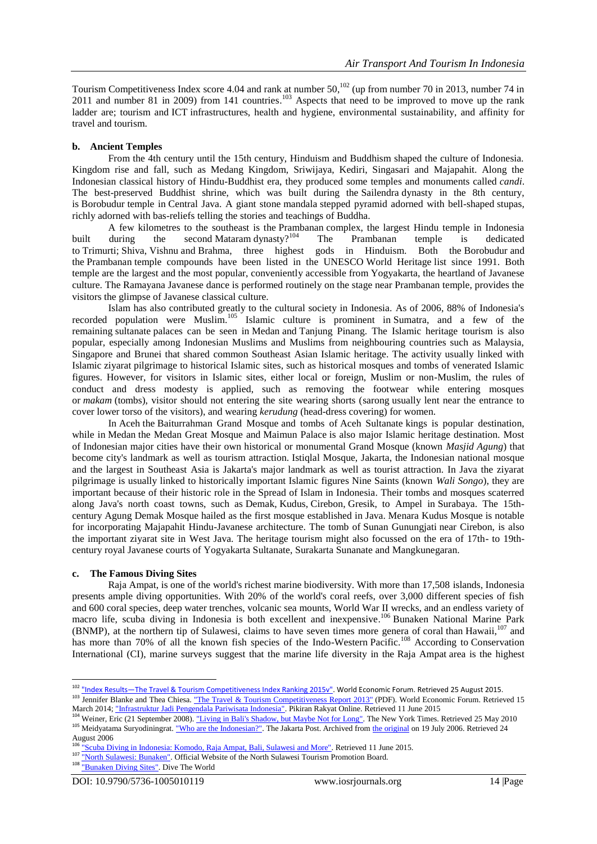Tourism Competitiveness Index score 4.04 and rank at number 50,<sup>102</sup> (up from number 70 in 2013, number 74 in 2011 and number 81 in 2009) from 141 countries.<sup>103</sup> Aspects that need to be improved to move up the rank ladder are; tourism and [ICT](https://en.wikipedia.org/wiki/Information_and_communications_technology) infrastructures, health and hygiene, environmental sustainability, and affinity for travel and tourism.

# **b. Ancient Temples**

From the 4th century until the 15th century, Hinduism and Buddhism shaped the culture of Indonesia. Kingdom rise and fall, such as Medang Kingdom, Sriwijaya, Kediri, Singasari and Majapahit. Along the Indonesian classical history of Hindu-Buddhist era, they produced some temples and monuments called *candi*. The best-preserved Buddhist shrine, which was built during the [Sailendra](https://en.wikipedia.org/wiki/Sailendra) dynasty in the 8th century, is [Borobudur](https://en.wikipedia.org/wiki/Borobudur) temple in [Central Java.](https://en.wikipedia.org/wiki/Central_Java) A giant stone [mandala](https://en.wikipedia.org/wiki/Mandala) stepped pyramid adorned with bell-shaped [stupas,](https://en.wikipedia.org/wiki/Stupa) richly adorned with bas-reliefs telling the stories and teachings of Buddha.

A few kilometres to the southeast is the [Prambanan](https://en.wikipedia.org/wiki/Prambanan) complex, the largest Hindu temple in Indonesia built during the second [Mataram](https://en.wikipedia.org/wiki/Mataram_Kingdom) dynasty?<sup>104</sup> The Prambanan temple is dedicated to [Trimurti;](https://en.wikipedia.org/wiki/Trimurti) [Shiva,](https://en.wikipedia.org/wiki/Shiva) [Vishnu](https://en.wikipedia.org/wiki/Vishnu) and [Brahma,](https://en.wikipedia.org/wiki/Brahma) three highest gods in Hinduism. Both the [Borobudur](https://en.wikipedia.org/wiki/Borobudur) and the [Prambanan](https://en.wikipedia.org/wiki/Prambanan) temple compounds have been listed in the UNESCO [World Heritage](https://en.wikipedia.org/wiki/World_Heritage) list since 1991. Both temple are the largest and the most popular, conveniently accessible from [Yogyakarta,](https://en.wikipedia.org/wiki/Yogyakarta) the heartland of Javanese culture. The [Ramayana](https://en.wikipedia.org/wiki/Ramayana) [Javanese dance](https://en.wikipedia.org/wiki/Javanese_dance) is performed routinely on the stage near Prambanan temple, provides the visitors the glimpse of Javanese classical culture.

Islam has also contributed greatly to the cultural society in Indonesia. As of 2006, 88% of Indonesia's recorded population were Muslim.<sup>105</sup> Islamic culture is prominent in [Sumatra,](https://en.wikipedia.org/wiki/Sumatra) and a few of the remaining [sultanate](https://en.wikipedia.org/wiki/Sultanate) palaces can be seen in [Medan](https://en.wikipedia.org/wiki/Medan) and [Tanjung Pinang.](https://en.wikipedia.org/wiki/Tanjung_Pinang) The Islamic heritage tourism is also popular, especially among Indonesian Muslims and Muslims from neighbouring countries such as Malaysia, Singapore and Brunei that shared common Southeast Asian Islamic heritage. The activity usually linked with Islamic [ziyarat](https://en.wikipedia.org/wiki/Ziyarat) pilgrimage to historical Islamic sites, such as historical mosques and tombs of venerated Islamic figures. However, for visitors in Islamic sites, either local or foreign, Muslim or non-Muslim, the rules of conduct and dress modesty is applied, such as removing the footwear while entering mosques or *makam* (tombs), visitor should not entering the site wearing shorts [\(sarong](https://en.wikipedia.org/wiki/Sarong) usually lent near the entrance to cover lower torso of the visitors), and wearing *kerudung* (head-dress covering) for women.

In [Aceh](https://en.wikipedia.org/wiki/Aceh) the [Baiturrahman Grand Mosque](https://en.wikipedia.org/wiki/Baiturrahman_Grand_Mosque) and tombs of [Aceh Sultanate](https://en.wikipedia.org/wiki/Aceh_Sultanate) kings is popular destination, while in [Medan](https://en.wikipedia.org/wiki/Medan) the Medan Great Mosque and [Maimun Palace](https://en.wikipedia.org/wiki/Maimun_Palace) is also major Islamic heritage destination. Most of Indonesian major cities have their own historical or monumental Grand Mosque (known *Masjid Agung*) that become city's landmark as well as tourism attraction. [Istiqlal Mosque, Jakarta,](https://en.wikipedia.org/wiki/Istiqlal_Mosque,_Jakarta) the Indonesian national mosque and the largest in Southeast Asia is Jakarta's major landmark as well as tourist attraction. In Java the ziyarat pilgrimage is usually linked to historically important Islamic figures Nine Saints (known *Wali Songo*), they are important because of their historic role in the [Spread of Islam in Indonesia.](https://en.wikipedia.org/wiki/Spread_of_Islam_in_Indonesia) Their tombs and mosques scaterred along Java's north coast towns, such as [Demak,](https://en.wikipedia.org/wiki/Demak,_Indonesia) [Kudus,](https://en.wikipedia.org/wiki/Kudus) [Cirebon,](https://en.wikipedia.org/wiki/Cirebon) [Gresik,](https://en.wikipedia.org/wiki/Gresik) to Ampel in [Surabaya.](https://en.wikipedia.org/wiki/Surabaya) The 15thcentury [Agung Demak Mosque](https://en.wikipedia.org/wiki/Agung_Demak_Mosque) hailed as the first mosque established in Java. [Menara Kudus Mosque](https://en.wikipedia.org/wiki/Menara_Kudus_Mosque) is notable for incorporating Majapahit Hindu-Javanese architecture. The tomb of [Sunan Gunungjati](https://en.wikipedia.org/wiki/Sunan_Gunungjati) near Cirebon, is also the important ziyarat site in West Java. The heritage tourism might also focussed on the era of 17th- to 19thcentury royal Javanese courts of [Yogyakarta Sultanate,](https://en.wikipedia.org/wiki/Yogyakarta_Sultanate) [Surakarta Sunanate](https://en.wikipedia.org/wiki/Surakarta_Sunanate) and [Mangkunegaran.](https://en.wikipedia.org/wiki/Mangkunegaran)

#### **c. The Famous Diving Sites**

[Raja Ampat,](https://en.wikipedia.org/wiki/Raja_Ampat) is one of the world's richest marine biodiversity. With more than 17,508 [islands,](https://en.wikipedia.org/wiki/Island) Indonesia presents ample diving opportunities. With 20% of the world's coral reefs, over 3,000 different species of fish and 600 coral species, deep water trenches, volcanic sea mounts, World War II wrecks, and an endless variety of macro life, scuba diving in Indonesia is both excellent and inexpensive.<sup>106</sup> [Bunaken National Marine Park](https://en.wikipedia.org/wiki/Bunaken_National_Park) (BNMP), at the northern tip of [Sulawesi,](https://en.wikipedia.org/wiki/Sulawesi) claims to have seven times more genera of [coral](https://en.wikipedia.org/wiki/Coral) than [Hawaii,](https://en.wikipedia.org/wiki/Hawaii)<sup>107</sup> and has more than 70% of all the known fish species of the Indo-Western [Pacific.](https://en.wikipedia.org/wiki/Pacific)<sup>108</sup> According to Conservation [International](https://en.wikipedia.org/wiki/Conservation_International) (CI), marine surveys suggest that the marine life diversity in the [Raja Ampat](https://en.wikipedia.org/wiki/Raja_Ampat) area is the highest

<sup>1</sup> <sup>102</sup> "Index Results—The Travel & Tourism Competitiveness Index Ranking 2015v"</u>. World Economic Forum. Retrieved 25 August 2015.

<sup>&</sup>lt;sup>103</sup> Jennifer Blanke and Thea Chiesa. ["The Travel & Tourism Competitiveness Report 2013"](http://www3.weforum.org/docs/WEF_TT_Competitiveness_Report_2013.pdf) (PDF). World Economic Forum. Retrieved 15 March 2014[; "Infrastruktur Jadi Pengendala Pariwisata Indonesia".](http://www.pikiran-rakyat.com/node/147530) Pikiran Rakyat Online. Retrieved 11 June 2015

<sup>&</sup>lt;sup>104</sup> Weiner, Eric (21 September 2008). ["Living in Bali's Shadow, but Maybe Not for Long".](http://travel.nytimes.com/2008/09/21/travel/21next.html?ref=travel) The New York Times. Retrieved 25 May 2010 <sup>105</sup> Meidyatama Suryodiningrat. ["Who are the Indonesian?".](https://web.archive.org/web/20060719233353/http:/www.thejakartapost.com/community/ina3.asp) The Jakarta Post. Archived from [the original](http://www.thejakartapost.com/community/ina3.asp) on 19 July 2006. Retrieved 24 August 2006

[<sup>&</sup>quot;Scuba Diving in Indonesia: Komodo, Raja Ampat, Bali, Sulawesi and More".](http://www.dive-the-world.com/diving-sites-indonesia.php) Retrieved 11 June 2015.

<sup>107</sup> ["North Sulawesi: Bunaken".](http://www.north-sulawesi.org/bunaken.html) Official Website of the North Sulawesi Tourism Promotion Board.

<sup>&</sup>lt;sup>108</sup> ["Bunaken Diving Sites".](http://www.divetheworldindonesia.com/manado-diving-sites-bunaken-island.htm) Dive The World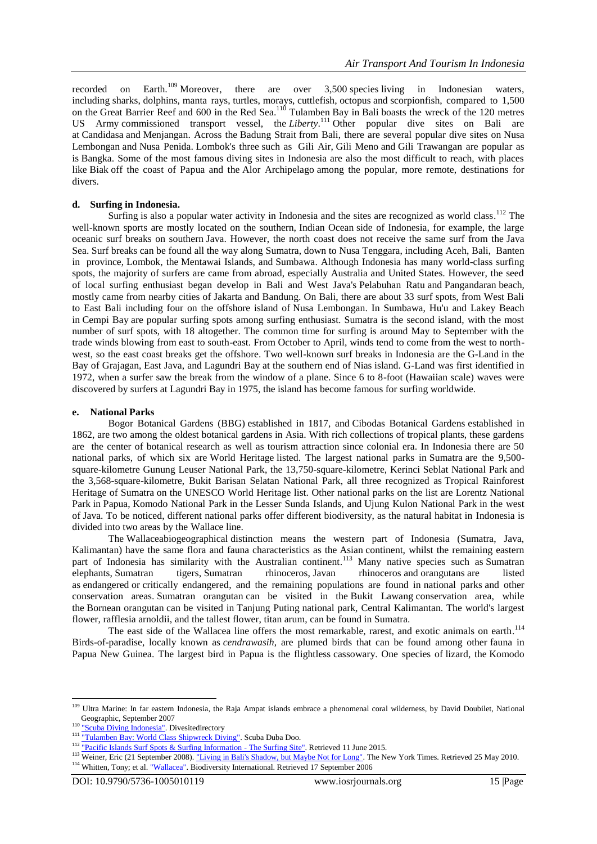recorded on Earth.<sup>109</sup> Moreover, there are over  $3,500$  [species](https://en.wikipedia.org/wiki/Species) living in Indonesian waters, including [sharks,](https://en.wikipedia.org/wiki/Shark) [dolphins,](https://en.wikipedia.org/wiki/Dolphins) [manta rays,](https://en.wikipedia.org/wiki/Manta_ray) [turtles,](https://en.wikipedia.org/wiki/Turtle) [morays,](https://en.wikipedia.org/wiki/Moray_eel) [cuttlefish,](https://en.wikipedia.org/wiki/Cuttlefish) [octopus](https://en.wikipedia.org/wiki/Octopus) and [scorpionfish,](https://en.wikipedia.org/wiki/Scorpionfish) compared to 1,500 on the [Great Barrier Reef](https://en.wikipedia.org/wiki/Great_Barrier_Reef) and 600 in the [Red Sea.](https://en.wikipedia.org/wiki/Red_Sea)<sup>110</sup> [Tulamben](https://en.wikipedia.org/wiki/Tulamben) Bay in [Bali](https://en.wikipedia.org/wiki/Bali) boasts the wreck of the 120 metres [US Army](https://en.wikipedia.org/wiki/US_Army) commissioned transport vessel, the *[Liberty](https://en.wikipedia.org/wiki/USAT_Liberty)*. <sup>111</sup> Other popular dive sites on Bali are at [Candidasa](https://en.wikipedia.org/wiki/Candidasa) and [Menjangan.](https://en.wikipedia.org/wiki/Menjangan_Island) Across the [Badung Strait](https://en.wikipedia.org/wiki/Badung_Strait) from Bali, there are several popular dive sites on [Nusa](https://en.wikipedia.org/wiki/Nusa_Lembongan)  [Lembongan](https://en.wikipedia.org/wiki/Nusa_Lembongan) and [Nusa Penida.](https://en.wikipedia.org/wiki/Nusa_Penida) [Lombok's](https://en.wikipedia.org/wiki/Lombok) three such as [Gili Air,](https://en.wikipedia.org/wiki/Gili_Air) [Gili Meno](https://en.wikipedia.org/wiki/Gili_Meno) and [Gili Trawangan](https://en.wikipedia.org/wiki/Gili_Trawangan) are popular as is [Bangka.](https://en.wikipedia.org/wiki/Bangka_Island) Some of the most famous diving sites in Indonesia are also the most difficult to reach, with places like [Biak](https://en.wikipedia.org/wiki/Biak) off the coast of Papua and the [Alor Archipelago](https://en.wikipedia.org/wiki/Alor_Archipelago) among the popular, more remote, destinations for divers.

# **d. Surfing in Indonesia.**

[Surfing](https://en.wikipedia.org/wiki/Surfing) is also a popular water activity in Indonesia and the sites are recognized as world class.<sup>112</sup> The well-known sports are mostly located on the southern, [Indian Ocean](https://en.wikipedia.org/wiki/Indian_Ocean) side of Indonesia, for example, the large oceanic surf breaks on southern [Java.](https://en.wikipedia.org/wiki/Java) However, the north coast does not receive the same surf from the [Java](https://en.wikipedia.org/wiki/Java_Sea)  [Sea.](https://en.wikipedia.org/wiki/Java_Sea) Surf breaks can be found all the way along [Sumatra,](https://en.wikipedia.org/wiki/Sumatra) down to Nusa Tenggara, including [Aceh,](https://en.wikipedia.org/wiki/Aceh) Bali, [Banten](https://en.wikipedia.org/wiki/Banten) in province, [Lombok,](https://en.wikipedia.org/wiki/Lombok) the [Mentawai Islands,](https://en.wikipedia.org/wiki/Mentawai_Islands) and [Sumbawa.](https://en.wikipedia.org/wiki/Sumbawa) Although Indonesia has many world-class surfing spots, the majority of surfers are came from abroad, especially Australia and United States. However, the seed of local surfing enthusiast began develop in Bali and West Java's [Pelabuhan Ratu](https://en.wikipedia.org/wiki/Pelabuhan_Ratu) and [Pangandaran](https://en.wikipedia.org/wiki/Pangandaran) beach, mostly came from nearby cities of Jakarta and Bandung. On Bali, there are about 33 surf spots, from West Bali to East Bali including four on the offshore island of [Nusa Lembongan.](https://en.wikipedia.org/wiki/Nusa_Lembongan) In Sumbawa, Hu'u and Lakey Beach in [Cempi Bay](https://en.wikipedia.org/wiki/Cempi_Bay) are popular surfing spots among surfing enthusiast. Sumatra is the second island, with the most number of surf spots, with 18 altogether. The common time for surfing is around May to September with the trade winds blowing from east to south-east. From October to April, winds tend to come from the west to northwest, so the east coast breaks get the offshore. Two well-known surf breaks in Indonesia are the [G-Land](https://en.wikipedia.org/wiki/G-Land) in the Bay of Grajagan, [East Java,](https://en.wikipedia.org/wiki/East_Java) and [Lagundri Bay](https://en.wikipedia.org/wiki/Lagundri_Bay) at the southern end of [Nias](https://en.wikipedia.org/wiki/Nias) island. G-Land was first identified in 1972, when a surfer saw the break from the window of a plane. Since 6 to 8-foot [\(Hawaiian scale\)](https://en.wikipedia.org/wiki/Hawaiian_scale) waves were discovered by surfers at Lagundri Bay in 1975, the island has become famous for surfing worldwide.

# **e. National Parks**

[Bogor Botanical Gardens](https://en.wikipedia.org/wiki/Bogor_Botanical_Gardens) (BBG) established in 1817, and [Cibodas Botanical Gardens](https://en.wikipedia.org/wiki/Cibodas_Botanical_Gardens) established in 1862, are two among the oldest botanical gardens in Asia. With rich collections of tropical plants, these gardens are the center of botanical research as well as tourism attraction since colonial era. In Indonesia there are 50 national parks, of which six are [World Heritage](https://en.wikipedia.org/wiki/UNESCO_World_Heritage) listed. The largest national parks in [Sumatra](https://en.wikipedia.org/wiki/Sumatra) are the 9,500 square-kilometre [Gunung Leuser National Park,](https://en.wikipedia.org/wiki/Gunung_Leuser_National_Park) the 13,750-square-kilometre, [Kerinci Seblat National Park](https://en.wikipedia.org/wiki/Kerinci_Seblat_National_Park) and the 3,568-square-kilometre, [Bukit Barisan Selatan National Park,](https://en.wikipedia.org/wiki/Bukit_Barisan_Selatan_National_Park) all three recognized as [Tropical Rainforest](https://en.wikipedia.org/wiki/Tropical_Rainforest_Heritage_of_Sumatra)  [Heritage of Sumatra](https://en.wikipedia.org/wiki/Tropical_Rainforest_Heritage_of_Sumatra) on the UNESCO World Heritage list. Other national parks on the list are [Lorentz National](https://en.wikipedia.org/wiki/Lorentz_National_Park)  [Park](https://en.wikipedia.org/wiki/Lorentz_National_Park) in [Papua,](https://en.wikipedia.org/wiki/Papua_(Indonesian_province)) [Komodo National Park](https://en.wikipedia.org/wiki/Komodo_National_Park) in the [Lesser Sunda Islands,](https://en.wikipedia.org/wiki/Lesser_Sunda_Islands) and [Ujung Kulon National Park](https://en.wikipedia.org/wiki/Ujung_Kulon_National_Park) in the west of [Java.](https://en.wikipedia.org/wiki/Java) To be noticed, different national parks offer different biodiversity, as the natural habitat in Indonesia is divided into two areas by the [Wallace line.](https://en.wikipedia.org/wiki/Wallace_line)

The [Wallaceabiogeographical](https://en.wikipedia.org/wiki/Wallacea) distinction means the western part of Indonesia (Sumatra, Java, Kalimantan) have the same flora and fauna characteristics as the [Asian](https://en.wikipedia.org/wiki/Asia) continent, whilst the remaining eastern part of Indonesia has similarity with the Australian continent.<sup>113</sup> Many native species such as Sumatran [elephants,](https://en.wikipedia.org/wiki/Sumatran_elephant) [Sumatran tigers,](https://en.wikipedia.org/wiki/Sumatran_tiger) [Sumatran rhinoceros,](https://en.wikipedia.org/wiki/Sumatran_rhinoceros) [Javan rhinoceros](https://en.wikipedia.org/wiki/Javan_rhinoceros) and [orangutans](https://en.wikipedia.org/wiki/Orangutans) are listed as [endangered](https://en.wikipedia.org/wiki/Endangered_species) or [critically endangered,](https://en.wikipedia.org/wiki/Critically_endangered) and the remaining populations are found in [national parks](https://en.wikipedia.org/wiki/List_of_national_parks_of_Indonesia) and other conservation areas. [Sumatran orangutan](https://en.wikipedia.org/wiki/Sumatran_orangutan) can be visited in the [Bukit Lawang](https://en.wikipedia.org/wiki/Bukit_Lawang) conservation area, while the [Bornean orangutan](https://en.wikipedia.org/wiki/Bornean_orangutan) can be visited in [Tanjung Puting](https://en.wikipedia.org/wiki/Tanjung_Puting) national park, Central Kalimantan. The world's largest flower, [rafflesia arnoldii](https://en.wikipedia.org/wiki/Rafflesia_arnoldi), and the tallest flower, [titan arum,](https://en.wikipedia.org/wiki/Titan_arum) can be found in Sumatra.

The east side of the Wallacea line offers the most remarkable, rarest, and exotic animals on earth.<sup>114</sup> [Birds-of-paradise,](https://en.wikipedia.org/wiki/Birds-of-paradise) locally known as *cendrawasih*, are plumed birds that can be found among other [fauna in](https://en.wikipedia.org/wiki/Fauna_of_New_Guinea)  [Papua New Guinea.](https://en.wikipedia.org/wiki/Fauna_of_New_Guinea) The largest bird in Papua is the flightless [cassowary.](https://en.wikipedia.org/wiki/Cassowary) One species of [lizard,](https://en.wikipedia.org/wiki/Lizard) the [Komodo](https://en.wikipedia.org/wiki/Komodo_dragon)

**.** 

<sup>&</sup>lt;sup>109</sup> Ultra Marine: In far eastern Indonesia, the Raja Ampat islands embrace a phenomenal coral wilderness, by David Doubilet, National Geographic, September 2007

<sup>&</sup>lt;sup>110</sup> ["Scuba Diving Indonesia".](http://www.divesitedirectory.com/indonesia.html) Divesitedirectory

<sup>111</sup> ["Tulamben Bay: World Class Shipwreck Diving".](http://www.divecenterbali.com/divesites/tulamben_wreck.htm) Scuba Duba Doo.

<sup>&</sup>lt;sup>112</sup> ["Pacific Islands Surf Spots & Surfing Information -](http://www.thesurfingsite.com/Surf-Spots-Pacific-Islands.html) The Surfing Site". Retrieved 11 June 2015.

<sup>&</sup>lt;sup>113</sup> Weiner, Eric (21 September 2008). ["Living in Bali's Shadow, but Maybe Not for Long".](http://travel.nytimes.com/2008/09/21/travel/21next.html?ref=travel) The New York Times. Retrieved 25 May 2010. <sup>114</sup> Whitten, Tony; et al. ["Wallacea".](http://www.biodiversityscience.org/publications/hotspots/Wallacea.html) Biodiversity International. Retrieved 17 September 2006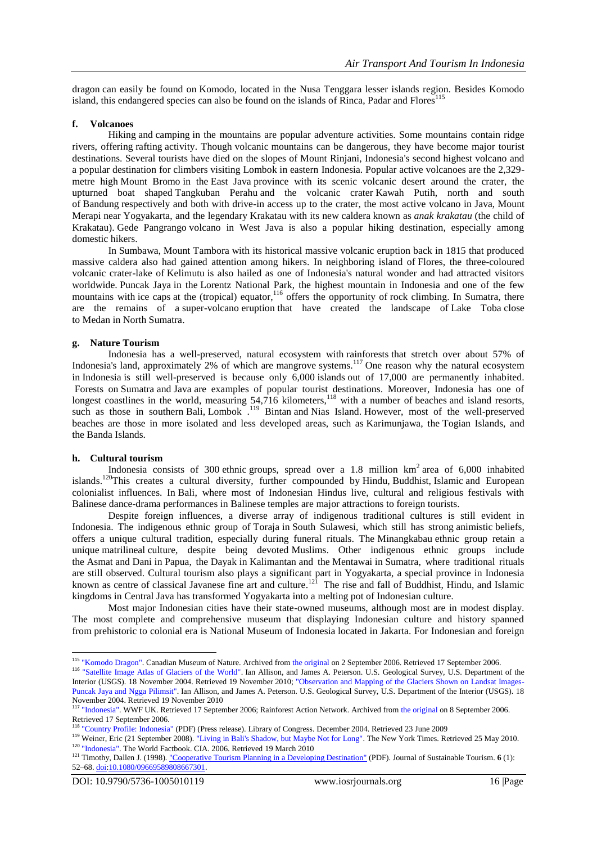dragon can easily be found on [Komodo,](https://en.wikipedia.org/wiki/Komodo_(island)) located in the Nusa Tenggara lesser islands region. Besides Komodo island, this endangered species can also be found on the islands of Rinca, Padar and Flores<sup>115</sup>

## **f. Volcanoes**

[Hiking](https://en.wikipedia.org/wiki/Hiking) and [camping](https://en.wikipedia.org/wiki/Camping) in the mountains are popular adventure activities. Some mountains contain ridge rivers, offering [rafting](https://en.wikipedia.org/wiki/Rafting) activity. Though [volcanic](https://en.wikipedia.org/wiki/Volcanic) mountains can be dangerous, they have become major tourist destinations. Several tourists have died on the slopes of [Mount Rinjani,](https://en.wikipedia.org/wiki/Mount_Rinjani) Indonesia's second highest volcano and a popular destination for climbers visiting Lombok in eastern Indonesia. Popular active volcanoes are the 2,329 metre high [Mount Bromo](https://en.wikipedia.org/wiki/Mount_Bromo) in the [East Java](https://en.wikipedia.org/wiki/East_Java) province with its scenic volcanic desert around the crater, the upturned boat shaped [Tangkuban Perahu](https://en.wikipedia.org/wiki/Tangkuban_Perahu) and the volcanic crater [Kawah Putih,](https://en.wikipedia.org/wiki/Kawah_Putih) north and south of [Bandung](https://en.wikipedia.org/wiki/Bandung) respectively and both with drive-in access up to the crater, the most active volcano in Java, [Mount](https://en.wikipedia.org/wiki/Mount_Merapi)  [Merapi](https://en.wikipedia.org/wiki/Mount_Merapi) near [Yogyakarta,](https://en.wikipedia.org/wiki/Yogyakarta) and the legendary [Krakatau](https://en.wikipedia.org/wiki/Krakatau) with its new [caldera](https://en.wikipedia.org/wiki/Caldera) known as *anak krakatau* (the child of Krakatau). [Gede Pangrango](https://en.wikipedia.org/wiki/Gunung_Gede_Pangrango_National_Park) volcano in West Java is also a popular hiking destination, especially among domestic hikers.

In [Sumbawa,](https://en.wikipedia.org/wiki/Sumbawa) [Mount Tambora](https://en.wikipedia.org/wiki/Mount_Tambora) with its historical massive volcanic eruption back in 1815 that produced massive caldera also had gained attention among hikers. In neighboring island of [Flores,](https://en.wikipedia.org/wiki/Flores) the three-coloured volcanic crater-lake of [Kelimutu](https://en.wikipedia.org/wiki/Kelimutu) is also hailed as one of Indonesia's natural wonder and had attracted visitors worldwide. [Puncak Jaya](https://en.wikipedia.org/wiki/Puncak_Jaya) in the [Lorentz National Park,](https://en.wikipedia.org/wiki/Lorentz_National_Park) the highest mountain in Indonesia and one of the few mountains with [ice caps](https://en.wikipedia.org/wiki/Ice_caps) at the (tropical) equator, <sup>116</sup> offers the opportunity of [rock climbing.](https://en.wikipedia.org/wiki/Rock_climbing) In Sumatra, there are the remains of a [super-volcano](https://en.wikipedia.org/wiki/Supervolcano) [eruption](https://en.wikipedia.org/wiki/Eruption) that have created the landscape of [Lake Toba](https://en.wikipedia.org/wiki/Lake_Toba) close to [Medan](https://en.wikipedia.org/wiki/Medan) in [North Sumatra.](https://en.wikipedia.org/wiki/North_Sumatra)

# **g. Nature Tourism**

Indonesia has a well-preserved, natural ecosystem with [rainforests](https://en.wikipedia.org/wiki/Rainforests) that stretch over about 57% of Indonesia's land, approximately 2% of which are [mangrove](https://en.wikipedia.org/wiki/Mangrove) systems.<sup>117</sup> One reason why the natural ecosystem in [Indonesia](https://en.wikipedia.org/wiki/Indonesia) is still well-preserved is because only 6,000 [islands](https://en.wikipedia.org/wiki/Islands) out of 17,000 are permanently inhabited. Forests on [Sumatra](https://en.wikipedia.org/wiki/Sumatra) and [Java](https://en.wikipedia.org/wiki/Java) are examples of popular tourist destinations. Moreover, Indonesia has one of longest coastlines in the world, measuring  $54,716$  kilometers,<sup>118</sup> with a number of [beaches](https://en.wikipedia.org/wiki/Beach) and island resorts, such as those in southern [Bali,](https://en.wikipedia.org/wiki/Bali) [Lombok](https://en.wikipedia.org/wiki/Lombok) .<sup>119</sup> [Bintan](https://en.wikipedia.org/wiki/Bintan) and [Nias Island.](https://en.wikipedia.org/wiki/Nias_Island) However, most of the well-preserved beaches are those in more isolated and less developed areas, such as [Karimunjawa,](https://en.wikipedia.org/wiki/Karimunjawa) the [Togian Islands,](https://en.wikipedia.org/wiki/Togian_Islands) and the [Banda Islands.](https://en.wikipedia.org/wiki/Banda_Islands)

#### **h. Cultural tourism**

1

Indonesia consists of 300 [ethnic](https://en.wikipedia.org/wiki/Ethnic) groups, spread over a 1.8 million  $km^2$  area of 6,000 inhabited islands.<sup>120</sup>This creates a cultural diversity, further compounded by [Hindu,](https://en.wikipedia.org/wiki/Hinduism) [Buddhist,](https://en.wikipedia.org/wiki/Buddhism) [Islamic](https://en.wikipedia.org/wiki/Islam) and European colonialist influences. In [Bali,](https://en.wikipedia.org/wiki/Bali) where most of Indonesian Hindus live, cultural and religious festivals with Balinese dance-drama performances in [Balinese temples](https://en.wikipedia.org/wiki/Balinese_temples) are major attractions to foreign tourists.

Despite foreign influences, a diverse array of indigenous traditional cultures is still evident in Indonesia. The indigenous ethnic group of [Toraja](https://en.wikipedia.org/wiki/Toraja) in [South Sulawesi,](https://en.wikipedia.org/wiki/South_Sulawesi) which still has strong [animistic](https://en.wikipedia.org/wiki/Animism) beliefs, offers a unique cultural tradition, especially during funeral rituals. The [Minangkabau](https://en.wikipedia.org/wiki/Minangkabau_people) ethnic group retain a unique [matrilineal](https://en.wikipedia.org/wiki/Matrilineal) culture, despite being devoted [Muslims.](https://en.wikipedia.org/wiki/Muslim) Other indigenous ethnic groups include the [Asmat](https://en.wikipedia.org/wiki/Asmat_people) and [Dani](https://en.wikipedia.org/wiki/Dani_people) in [Papua,](https://en.wikipedia.org/wiki/Papua_(Indonesian_province)) the [Dayak](https://en.wikipedia.org/wiki/Dayak_people) in [Kalimantan](https://en.wikipedia.org/wiki/Kalimantan) and the [Mentawai](https://en.wikipedia.org/wiki/Mentawai_people) in [Sumatra,](https://en.wikipedia.org/wiki/Sumatra) where traditional rituals are still observed. Cultural tourism also plays a significant part in [Yogyakarta,](https://en.wikipedia.org/wiki/Yogyakarta) a special province in Indonesia known as centre of classical Javanese fine art and culture.<sup>121</sup> The rise and fall of Buddhist, Hindu, and Islamic kingdoms in Central Java has transformed Yogyakarta into a melting pot of Indonesian culture.

Most major Indonesian cities have their state-owned museums, although most are in modest display. The most complete and comprehensive museum that displaying Indonesian culture and history spanned from [prehistoric](https://en.wikipedia.org/wiki/Prehistoric_Indonesia) to colonial era is [National Museum of Indonesia](https://en.wikipedia.org/wiki/National_Museum_of_Indonesia) located in Jakarta. For Indonesian and foreign

<sup>&</sup>lt;sup>115</sup> ["Komodo Dragon".](https://web.archive.org/web/20060902101736/http:/www.nature.ca/notebooks/English/komodo.htm) Canadian Museum of Nature. Archived from [the original](http://www.nature.ca/notebooks/English/komodo.htm) on 2 September 2006. Retrieved 17 September 2006.

<sup>&</sup>lt;sup>116</sup> ["Satellite Image Atlas of Glaciers of the World".](http://pubs.usgs.gov/pp/p1386h/indonesia/indonesia.html) Ian Allison, and James A. Peterson. U.S. Geological Survey, U.S. Department of the Interior (USGS). 18 November 2004. Retrieved 19 November 2010; ["Observation and Mapping of the Glaciers Shown on Landsat Images-](http://pubs.usgs.gov/pp/p1386h/indonesia/indonesia2.html)[Puncak Jaya and Ngga Pilimsit".](http://pubs.usgs.gov/pp/p1386h/indonesia/indonesia2.html) Ian Allison, and James A. Peterson. U.S. Geological Survey, U.S. Department of the Interior (USGS). 18 November 2004. Retrieved 19 November 2010

<sup>&</sup>lt;sup>117</sup> ["Indonesia".](http://www.wwf.org.uk/researcher/places/0000000216.asp) WWF UK. Retrieved 17 September 2006; Rainforest Action Network. Archived from [the original](http://www.rainforestweb.org/Rainforest_Regions/Asia/Indonesia/) on 8 September 2006. Retrieved 17 September 2006.

<sup>118</sup> ["Country Profile: Indonesia"](http://lcweb2.loc.gov/frd/cs/profiles/Indonesia.pdf) (PDF) (Press release). Library of Congress. December 2004. Retrieved 23 June 2009

<sup>119</sup> Weiner, Eric (21 September 2008). ["Living in Bali's Shadow, but Maybe Not for Long".](http://travel.nytimes.com/2008/09/21/travel/21next.html?ref=travel) The New York Times. Retrieved 25 May 2010. <sup>120</sup> ["Indonesia".](https://www.cia.gov/library/publications/the-world-factbook/geos/id.html) The World Factbook. CIA. 2006. Retrieved 19 March 2010

<sup>&</sup>lt;sup>121</sup> Timothy, Dallen J. (1998). ["Cooperative Tourism Planning in a Developing Destination"](http://www.channelviewpublications.net/jost/006/0052/jost0060052.pdf) (PDF). Journal of Sustainable Tourism. **6** (1): 52–68. [doi](https://en.wikipedia.org/wiki/Digital_object_identifier)[:10.1080/09669589808667301.](https://dx.doi.org/10.1080%2F09669589808667301)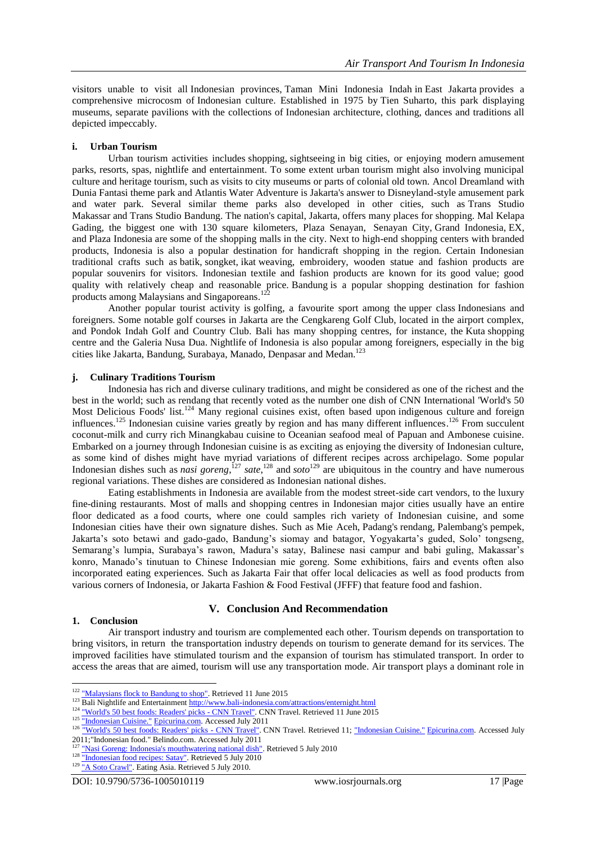visitors unable to visit all [Indonesian provinces,](https://en.wikipedia.org/wiki/Indonesian_provinces) [Taman Mini Indonesia Indah](https://en.wikipedia.org/wiki/Taman_Mini_Indonesia_Indah) in [East Jakarta](https://en.wikipedia.org/wiki/East_Jakarta) provides a comprehensive microcosm of [Indonesian culture.](https://en.wikipedia.org/wiki/Indonesian_culture) Established in 1975 by [Tien Suharto,](https://en.wikipedia.org/wiki/Tien_Suharto) this park displaying museums, separate pavilions with the collections of [Indonesian architecture,](https://en.wikipedia.org/wiki/Indonesian_architecture) clothing, dances and traditions all depicted impeccably.

# **i. Urban Tourism**

Urban tourism activities includes [shopping,](https://en.wikipedia.org/wiki/Shopping) [sightseeing](https://en.wikipedia.org/wiki/Sightseeing) in big cities, or enjoying modern [amusement](https://en.wikipedia.org/wiki/Amusement_parks)  [parks,](https://en.wikipedia.org/wiki/Amusement_parks) resorts, spas, nightlife and entertainment. To some extent urban tourism might also involving municipal culture and heritage tourism, such as visits to city museums or parts of colonial old town. [Ancol Dreamland](https://en.wikipedia.org/wiki/Ancol_Dreamland) with Dunia Fantasi theme park and Atlantis Water Adventure is Jakarta's answer to Disneyland-style amusement park and water park. Several similar theme parks also developed in other cities, such as [Trans Studio](https://en.wikipedia.org/wiki/Trans_Studio_Makassar)  [Makassar](https://en.wikipedia.org/wiki/Trans_Studio_Makassar) and [Trans Studio Bandung.](https://en.wikipedia.org/wiki/Trans_Studio_Bandung) The nation's capital, [Jakarta,](https://en.wikipedia.org/wiki/Jakarta) offers many places for shopping. [Mal Kelapa](https://en.wikipedia.org/wiki/Mal_Kelapa_Gading)  [Gading,](https://en.wikipedia.org/wiki/Mal_Kelapa_Gading) the biggest one with 130 square kilometers, [Plaza Senayan,](https://en.wikipedia.org/wiki/Plaza_Senayan) [Senayan City,](https://en.wikipedia.org/wiki/Senayan_City) [Grand Indonesia,](https://en.wikipedia.org/wiki/Grand_Indonesia) [EX,](https://en.wikipedia.org/wiki/Entertainment_X%27nter) and [Plaza Indonesia](https://en.wikipedia.org/wiki/Plaza_Indonesia) are some of the [shopping malls](https://en.wikipedia.org/wiki/Shopping_mall) in the city. Next to high-end shopping centers with branded products, Indonesia is also a popular destination for handicraft shopping in the region. Certain Indonesian traditional crafts such as [batik,](https://en.wikipedia.org/wiki/Batik) [songket,](https://en.wikipedia.org/wiki/Songket) [ikat](https://en.wikipedia.org/wiki/Ikat) weaving, embroidery, wooden statue and fashion products are popular souvenirs for visitors. Indonesian textile and fashion products are known for its good value; good quality with relatively cheap and reasonable price. [Bandung](https://en.wikipedia.org/wiki/Bandung) is a popular shopping destination for fashion products among Malaysians and Singaporeans.<sup>122</sup>

Another popular tourist activity is [golfing,](https://en.wikipedia.org/wiki/Golfing) a favourite sport among the [upper class](https://en.wikipedia.org/wiki/Upper_class) Indonesians and foreigners. Some notable golf courses in Jakarta are the Cengkareng Golf Club, located in the airport complex, and Pondok Indah Golf and Country Club. Bali has many shopping centres, for instance, the [Kuta](https://en.wikipedia.org/wiki/Kuta) shopping centre and the Galeria [Nusa Dua.](https://en.wikipedia.org/wiki/Nusa_Dua) [Nightlife](https://en.wikipedia.org/wiki/Nightlife_(activity)) of Indonesia is also popular among foreigners, especially in the big cities like [Jakarta,](https://en.wikipedia.org/wiki/Jakarta) [Bandung,](https://en.wikipedia.org/wiki/Bandung) [Surabaya,](https://en.wikipedia.org/wiki/Surabaya) [Manado,](https://en.wikipedia.org/wiki/Manado) [Denpasar](https://en.wikipedia.org/wiki/Denpasar) and [Medan.](https://en.wikipedia.org/wiki/Medan)<sup>123</sup>

# **j. Culinary Traditions Tourism**

Indonesia has rich and diverse culinary traditions, and might be considered as one of the richest and the best in the world; such as [rendang](https://en.wikipedia.org/wiki/Rendang) that recently voted as the number one dish of CNN International 'World's 50 Most Delicious Foods' list.<sup>124</sup> Many regional cuisines exist, often based upon [indigenous culture](https://en.wikipedia.org/wiki/Culture_of_Indonesia) and foreign influences.<sup>125</sup> Indonesian cuisine varies greatly by region and has many different influences.<sup>126</sup> From succulent coconut-milk and curry rich [Minangkabau cuisine](https://en.wikipedia.org/wiki/Minangkabau_cuisine) to Oceanian seafood meal of Papuan and Ambonese cuisine. Embarked on a journey through Indonesian cuisine is as exciting as enjoying the diversity of Indonesian culture, as some kind of dishes might have myriad variations of different recipes across archipelago. Some popular Indonesian dishes such as *[nasi goreng](https://en.wikipedia.org/wiki/Nasi_goreng)*,<sup> $127$ </sup> *[sate](https://en.wikipedia.org/wiki/Satay)*, $128$  and *[soto](https://en.wikipedia.org/wiki/Soto_(food))*<sup>129</sup> are ubiquitous in the country and have numerous regional variations. These dishes are considered as Indonesian [national dishes.](https://en.wikipedia.org/wiki/National_dish)

Eating establishments in Indonesia are available from the modest street-side cart vendors, to the luxury fine-dining restaurants. Most of malls and shopping centres in Indonesian major cities usually have an entire floor dedicated as a [food courts,](https://en.wikipedia.org/wiki/Food_court) where one could samples rich variety of Indonesian cuisine, and some Indonesian cities have their own signature dishes. Such as [Mie Aceh,](https://en.wikipedia.org/wiki/Mie_Aceh) [Padang's](https://en.wikipedia.org/wiki/Padang,_Indonesia) [rendang,](https://en.wikipedia.org/wiki/Rendang) [Palembang's](https://en.wikipedia.org/wiki/Palembang) [pempek,](https://en.wikipedia.org/wiki/Pempek) Jakarta's soto betawi and gado-gado, Bandung's siomay and batagor, Yogyakarta's guded, Solo' tongseng, Semarang's lumpia, Surabaya's rawon, Madura's satay, Balinese nasi campur and babi guling, Makassar's konro, Manado's tinutuan to Chinese Indonesian mie goreng. Some exhibitions, fairs and events often also incorporated eating experiences. Such as [Jakarta Fair](https://en.wikipedia.org/wiki/Jakarta_Fair) that offer local delicacies as well as food products from various corners of Indonesia, or Jakarta Fashion & Food Festival (JFFF) that feature food and fashion.

# **V. Conclusion And Recommendation**

#### **1. Conclusion**

**.** 

Air transport industry and tourism are complemented each other. Tourism depends on transportation to bring visitors, in return the transportation industry depends on tourism to generate demand for its services. The improved facilities have stimulated tourism and the expansion of tourism has stimulated transport. In order to access the areas that are aimed, tourism will use any transportation mode. Air transport plays a dominant role in

<sup>&</sup>lt;sup>122</sup> ["Malaysians flock to Bandung to shop".](http://www.thejakartapost.com/news/2009/07/16/malaysians-flock-bandung-shop.html) Retrieved 11 June 2015

<sup>&</sup>lt;sup>123</sup> Bali Nightlife and Entertainment <http://www.bali-indonesia.com/attractions/enternight.html><br><sup>124</sup> ENLE at 5.0 degrades to the Department of the CNN.E at 2001.E at 2001.

[<sup>&</sup>quot;World's 50 best foods: Readers' picks -](http://www.cnngo.com/explorations/eat/readers-choice-worlds-50-most-delicious-foods-012321) CNN Travel". CNN Travel. Retrieved 11 June 2015

<sup>125</sup> ["Indonesian Cuisine."](http://www.epicurina.com/) [Epicurina.com.](http://www.epicurina.com/) Accessed July 2011

<sup>126</sup> ["World's 50 best foods: Readers' picks -](http://www.cnngo.com/explorations/eat/readers-choice-worlds-50-most-delicious-foods-012321) CNN Travel". CNN Travel. Retrieved 11[; "Indonesian Cuisine."](http://www.epicurina.com/) [Epicurina.com.](http://www.epicurina.com/) Accessed July 2011;"Indonesian food." Belindo.com. Accessed July 2011

[<sup>&</sup>quot;Nasi Goreng: Indonesia's mouthwatering national dish".](http://www.bali-travel-life.com/nasi-goreng.html) Retrieved 5 July 2010

<sup>&</sup>lt;sup>128</sup> ["Indonesian food recipes: Satay".](http://indonesianfoodrecipes.com/indonesian-satay-variants/) Retrieved 5 July 2010

<sup>&</sup>lt;sup>129</sup> A Soto Crawl". Eating Asia. Retrieved 5 July 2010.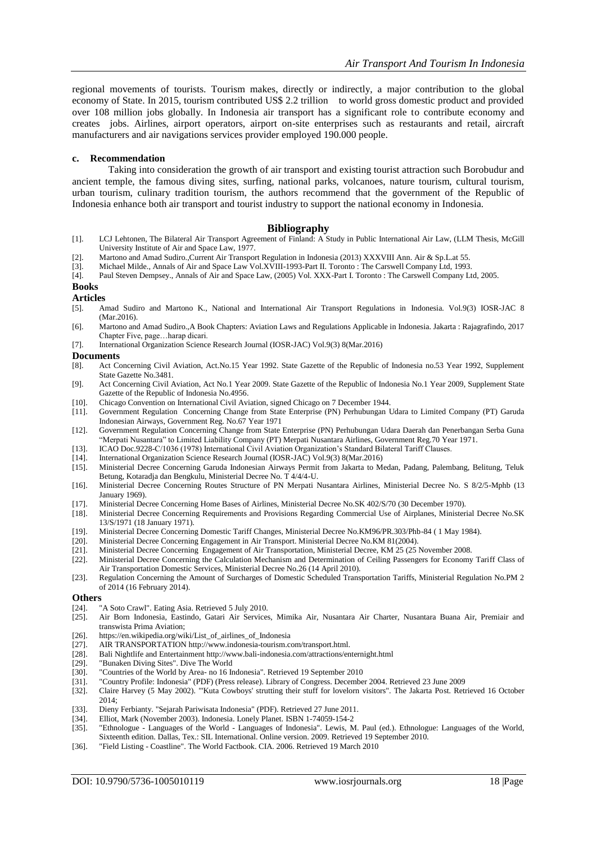regional movements of tourists. Tourism makes, directly or indirectly, a major contribution to the global economy of State. In 2015, tourism contributed US\$ 2.2 trillion to world gross domestic product and provided over 108 million jobs globally. In Indonesia air transport has a significant role to contribute economy and creates jobs. Airlines, airport operators, airport on-site enterprises such as restaurants and retail, aircraft manufacturers and air navigations services provider employed 190.000 people.

#### **c. Recommendation**

Taking into consideration the growth of air transport and existing tourist attraction such Borobudur and ancient temple, the famous diving sites, surfing, national parks, volcanoes, nature tourism, cultural tourism, urban tourism, culinary tradition tourism, the authors recommend that the government of the Republic of Indonesia enhance both air transport and tourist industry to support the national economy in Indonesia.

#### **Bibliography**

- [1]. LCJ Lehtonen, The Bilateral Air Transport Agreement of Finland: A Study in Public International Air Law, (LLM Thesis, McGill University Institute of Air and Space Law, 1977.
- [2]. Martono and Amad Sudiro.,Current Air Transport Regulation in Indonesia (2013) XXXVIII Ann. Air & Sp.L.at 55.
- [3]. Michael Milde., Annals of Air and Space Law Vol.XVIII-1993-Part II. Toronto : The Carswell Company Ltd, 1993.
- [4]. Paul Steven Dempsey., Annals of Air and Space Law, (2005) Vol. XXX-Part I. Toronto : The Carswell Company Ltd, 2005.

# **Books**

#### **Articles**

- [5]. Amad Sudiro and Martono K., National and International Air Transport Regulations in Indonesia. Vol.9(3) IOSR-JAC 8 (Mar.2016).
- [6]. Martono and Amad Sudiro.,A Book Chapters: Aviation Laws and Regulations Applicable in Indonesia. Jakarta : Rajagrafindo, 2017 Chapter Five, page…harap dicari.
- [7]. International Organization Science Research Journal (IOSR-JAC) Vol.9(3) 8(Mar.2016)

#### **Documents**

- [8]. Act Concerning Civil Aviation, Act.No.15 Year 1992. State Gazette of the Republic of Indonesia no.53 Year 1992, Supplement State Gazette No.3481.
- [9]. Act Concerning Civil Aviation, Act No.1 Year 2009. State Gazette of the Republic of Indonesia No.1 Year 2009, Supplement State Gazette of the Republic of Indonesia No.4956.
- [10]. Chicago Convention on International Civil Aviation, signed Chicago on 7 December 1944.
- [11]. Government Regulation Concerning Change from State Enterprise (PN) Perhubungan Udara to Limited Company (PT) Garuda Indonesian Airways, Government Reg. No.67 Year 1971
- [12]. Government Regulation Concerning Change from State Enterprise (PN) Perhubungan Udara Daerah dan Penerbangan Serba Guna "Merpati Nusantara" to Limited Liability Company (PT) Merpati Nusantara Airlines, Government Reg.70 Year 1971.
- [13]. ICAO Doc.9228-C/1036 (1978) International Civil Aviation Organization's Standard Bilateral Tariff Clauses.
- [14]. International Organization Science Research Journal (IOSR-JAC) Vol.9(3) 8(Mar.2016)<br>[15]. Ministerial Decree Concerning Garuda Indonesian Airways Permit from Jakarta to M
- [15]. Ministerial Decree Concerning Garuda Indonesian Airways Permit from Jakarta to Medan, Padang, Palembang, Belitung, Teluk Betung, Kotaradja dan Bengkulu, Ministerial Decree No. T 4/4/4-U.
- [16]. Ministerial Decree Concerning Routes Structure of PN Merpati Nusantara Airlines, Ministerial Decree No. S 8/2/5-Mphb (13 January 1969).
- [17]. Ministerial Decree Concerning Home Bases of Airlines, Ministerial Decree No.SK 402/S/70 (30 December 1970).
- [18]. Ministerial Decree Concerning Requirements and Provisions Regarding Commercial Use of Airplanes, Ministerial Decree No.SK 13/S/1971 (18 January 1971).
- [19]. Ministerial Decree Concerning Domestic Tariff Changes, Ministerial Decree No.KM96/PR.303/Phb-84 ( 1 May 1984).
- [20]. Ministerial Decree Concerning Engagement in Air Transport. Ministerial Decree No.KM 81(2004).
- [21]. Ministerial Decree Concerning Engagement of Air Transportation, Ministerial Decree, KM 25 (25 November 2008.
- [22]. Ministerial Decree Concerning the Calculation Mechanism and Determination of Ceiling Passengers for Economy Tariff Class of Air Transportation Domestic Services, Ministerial Decree No.26 (14 April 2010).
- [23]. Regulation Concerning the Amount of Surcharges of Domestic Scheduled Transportation Tariffs, Ministerial Regulation No.PM 2 of 2014 (16 February 2014).

#### **Others**

- [24]. ["A Soto Crawl".](http://eatingasia.typepad.com/eatingasia/2009/03/soto-crawl.html) Eating Asia. Retrieved 5 July 2010.
- [25]. Air Born Indonesia, Eastindo, Gatari Air Services, Mimika Air, Nusantara Air Charter, Nusantara Buana Air, Premiair and transwista Prima Aviation;
- [26]. [https://en.wikipedia.org/wiki/List\\_of\\_airlines\\_of\\_Indonesia](https://en.wikipedia.org/wiki/List_of_airlines_of_Indonesia)
- [27]. AIR TRANSPORTATIO[N http://www.indonesia-tourism.com/transport.html.](http://www.indonesia-tourism.com/transport.html)
- [28]. Bali Nightlife and Entertainment <http://www.bali-indonesia.com/attractions/enternight.html>
- [29]. ["Bunaken Diving Sites".](http://www.divetheworldindonesia.com/manado-diving-sites-bunaken-island.htm) Dive The World<br>[30]. "Countries of the World by Area- no 16 In
- ["Countries of the World by Area-](http://www.nationsonline.org/oneworld/countries_by_area.htm) no 16 Indonesia". Retrieved 19 September 2010
- [31]. ["Country Profile: Indonesia"](http://lcweb2.loc.gov/frd/cs/profiles/Indonesia.pdf) (PDF) (Press release). Library of Congress. December 2004. Retrieved 23 June 2009
- [32]. Claire Harvey (5 May 2002). "'Kuta Cowboys' strutting their stuff for lovelorn visitors". The Jakarta Post. Retrieved 16 October 2014;
- [33]. Dieny Ferbianty. ["Sejarah Pariwisata Indonesia"](http://www.scribd.com/doc/56647863/Sejarah-Pariwisata-Indonesia) (PDF). Retrieved 27 June 2011.
- [34]. Elliot, Mark (November 2003). Indonesia. Lonely Planet. [ISBN](https://en.wikipedia.org/wiki/International_Standard_Book_Number) [1-74059-154-2](https://en.wikipedia.org/wiki/Special:BookSources/1-74059-154-2)
- [35]. "Ethnologue [Languages of the World -](http://www.ethnologue.com/show_country.asp?name=ID) Languages of Indonesia". Lewis, M. Paul (ed.). Ethnologue: Languages of the World, Sixteenth edition. Dallas, Tex.: SIL International. Online version. 2009. Retrieved 19 September 2010.
- [36]. ["Field Listing -](https://www.cia.gov/library/publications/the-world-factbook/fields/2060.html) Coastline". The World Factbook. CIA. 2006. Retrieved 19 March 2010